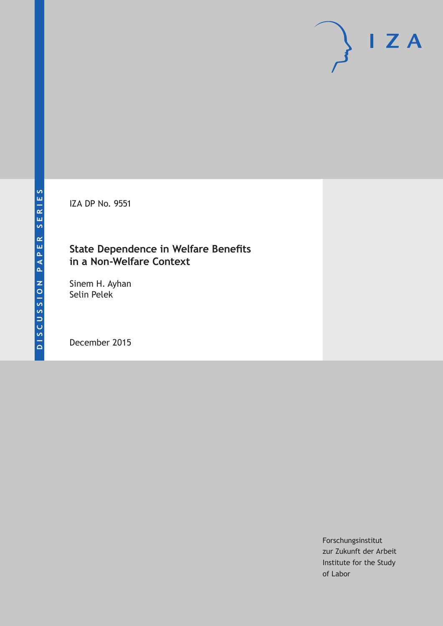IZA DP No. 9551

## **State Dependence in Welfare Benefits in a Non-Welfare Context**

Sinem H. Ayhan Selin Pelek

December 2015

Forschungsinstitut zur Zukunft der Arbeit Institute for the Study of Labor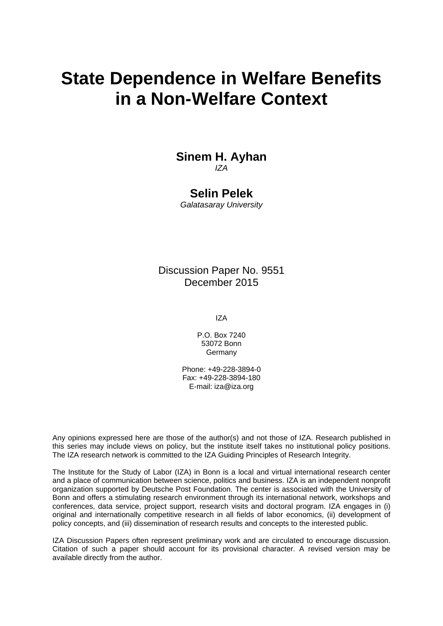# **State Dependence in Welfare Benefits in a Non-Welfare Context**

## **Sinem H. Ayhan**  *IZA*

## **Selin Pelek**

*Galatasaray University* 

Discussion Paper No. 9551 December 2015

IZA

P.O. Box 7240 53072 Bonn Germany

Phone: +49-228-3894-0 Fax: +49-228-3894-180 E-mail: iza@iza.org

Any opinions expressed here are those of the author(s) and not those of IZA. Research published in this series may include views on policy, but the institute itself takes no institutional policy positions. The IZA research network is committed to the IZA Guiding Principles of Research Integrity.

The Institute for the Study of Labor (IZA) in Bonn is a local and virtual international research center and a place of communication between science, politics and business. IZA is an independent nonprofit organization supported by Deutsche Post Foundation. The center is associated with the University of Bonn and offers a stimulating research environment through its international network, workshops and conferences, data service, project support, research visits and doctoral program. IZA engages in (i) original and internationally competitive research in all fields of labor economics, (ii) development of policy concepts, and (iii) dissemination of research results and concepts to the interested public.

IZA Discussion Papers often represent preliminary work and are circulated to encourage discussion. Citation of such a paper should account for its provisional character. A revised version may be available directly from the author.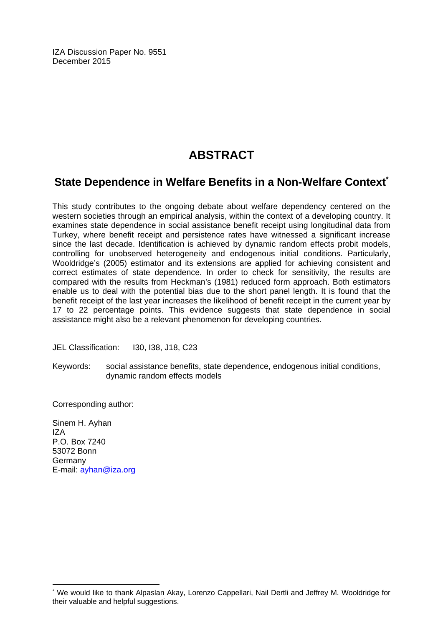IZA Discussion Paper No. 9551 December 2015

## **ABSTRACT**

## **State Dependence in Welfare Benefits in a Non-Welfare Context<sup>\*</sup>**

This study contributes to the ongoing debate about welfare dependency centered on the western societies through an empirical analysis, within the context of a developing country. It examines state dependence in social assistance benefit receipt using longitudinal data from Turkey, where benefit receipt and persistence rates have witnessed a significant increase since the last decade. Identification is achieved by dynamic random effects probit models, controlling for unobserved heterogeneity and endogenous initial conditions. Particularly, Wooldridge's (2005) estimator and its extensions are applied for achieving consistent and correct estimates of state dependence. In order to check for sensitivity, the results are compared with the results from Heckman's (1981) reduced form approach. Both estimators enable us to deal with the potential bias due to the short panel length. It is found that the benefit receipt of the last year increases the likelihood of benefit receipt in the current year by 17 to 22 percentage points. This evidence suggests that state dependence in social assistance might also be a relevant phenomenon for developing countries.

JEL Classification: I30, I38, J18, C23

Keywords: social assistance benefits, state dependence, endogenous initial conditions, dynamic random effects models

Corresponding author:

Sinem H. Ayhan  $IZ\Delta$ P.O. Box 7240 53072 Bonn Germany E-mail: ayhan@iza.org

 $\overline{\phantom{a}}$ 

<sup>\*</sup> We would like to thank Alpaslan Akay, Lorenzo Cappellari, Nail Dertli and Jeffrey M. Wooldridge for their valuable and helpful suggestions.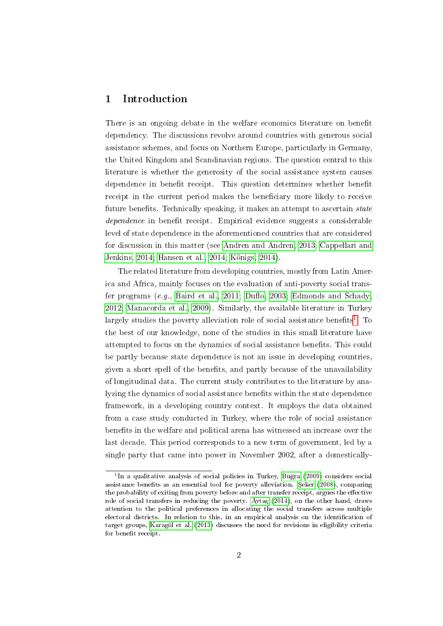## 1 Introduction

There is an ongoing debate in the welfare economics literature on benefit dependency. The discussions revolve around countries with generous social assistance schemes, and focus on Northern Europe, particularly in Germany, the United Kingdom and Scandinavian regions. The question central to this literature is whether the generosity of the social assistance system causes dependence in benefit receipt. This question determines whether benefit receipt in the current period makes the beneficiary more likely to receive future benefits. Technically speaking, it makes an attempt to ascertain *state* dependence in benefit receipt. Empirical evidence suggests a considerable level of state dependence in the aforementioned countries that are considered for discussion in this matter (see [Andren and Andren, 2013;](#page-21-0) [Cappellari and](#page-22-0) [Jenkins, 2014;](#page-22-0) [Hansen et al., 2014;](#page-22-1) [Königs, 2014\)](#page-22-2).

The related literature from developing countries, mostly from Latin America and Africa, mainly focuses on the evaluation of anti-poverty social transfer programs  $(e.g.,$  [Baird et al., 2011;](#page-22-3) Duflo, 2003; [Edmonds and Schady,](#page-22-5) [2012;](#page-22-5) [Manacorda et al., 2009\)](#page-22-6). Similarly, the available literature in Turkey largely studies the poverty alleviation role of social assistance benefits<sup>[1](#page-3-0)</sup>. To the best of our knowledge, none of the studies in this small literature have attempted to focus on the dynamics of social assistance benefits. This could be partly because state dependence is not an issue in developing countries, given a short spell of the benefits, and partly because of the unavailability of longitudinal data. The current study contributes to the literature by analyzing the dynamics of social assistance benefits within the state dependence framework, in a developing country context. It employs the data obtained from a case study conducted in Turkey, where the role of social assistance benefits in the welfare and political arena has witnessed an increase over the last decade. This period corresponds to a new term of government, led by a single party that came into power in November 2002, after a domestically-

<span id="page-3-0"></span><sup>&</sup>lt;sup>1</sup>In a qualitative analysis of social policies in Turkey, Buğra [\(2009\)](#page-22-7) considers social assistance benefits as an essential tool for poverty alleviation. Seker [\(2008\)](#page-23-0), comparing the probability of exiting from poverty before and after transfer receipt, argues the effective role of social transfers in reducing the poverty. [Aytaç](#page-22-8) [\(2014\)](#page-22-8), on the other hand, draws attention to the political preferences in allocating the social transfers across multiple electoral districts. In relation to this, in an empirical analysis on the identification of target groups, [Karagöl et al.](#page-22-9) [\(2013\)](#page-22-9) discusses the need for revisions in eligibility criteria for benefit receipt.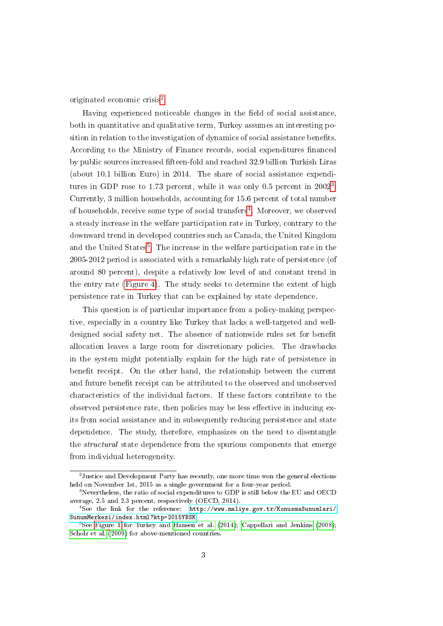originated economic crisis<sup>[2](#page-4-0)</sup>.

Having experienced noticeable changes in the field of social assistance, both in quantitative and qualitative term, Turkey assumes an interesting position in relation to the investigation of dynamics of social assistance benets. According to the Ministry of Finance records, social expenditures financed by public sources increased fteen-fold and reached 32.9 billion Turkish Liras (about 10.1 billion Euro) in 2014. The share of social assistance expendi-tures in GDP rose to 1.7[3](#page-4-1) percent, while it was only 0.5 percent in  $2002^3$ . Currently, 3 million households, accounting for 15.6 percent of total number of households, receive some type of social transfers<sup>[4](#page-4-2)</sup>. Moreover, we observed a steady increase in the welfare participation rate in Turkey, contrary to the downward trend in developed countries such as Canada, the United Kingdom and the United States<sup>[5](#page-4-3)</sup>. The increase in the welfare participation rate in the 2005-2012 period is associated with a remarkably high rate of persistence (of around 80 percent), despite a relatively low level of and constant trend in the entry rate [\(Figure 4\)](#page-25-0). The study seeks to determine the extent of high persistence rate in Turkey that can be explained by state dependence.

This question is of particular importance from a policy-making perspective, especially in a country like Turkey that lacks a well-targeted and welldesigned social safety net. The absence of nationwide rules set for benefit allocation leaves a large room for discretionary policies. The drawbacks in the system might potentially explain for the high rate of persistence in benefit receipt. On the other hand, the relationship between the current and future benefit receipt can be attributed to the observed and unobserved characteristics of the individual factors. If these factors contribute to the observed persistence rate, then policies may be less effective in inducing exits from social assistance and in subsequently reducing persistence and state dependence. The study, therefore, emphasizes on the need to disentangle the structural state dependence from the spurious components that emerge from individual heterogeneity.

<span id="page-4-0"></span> $^{2}$ Justice and Development Party has recently, one more time won the general elections held on November 1st, 2015 as a single government for a four-year period.

<span id="page-4-1"></span><sup>&</sup>lt;sup>3</sup>Nevertheless, the ratio of social expenditures to GDP is still below the EU and OECD average, 2.5 and 2.3 percent, respectively (OECD, 2014).

<span id="page-4-2"></span><sup>4</sup>See the link for the reference: [http://www.maliye.gov.tr/KonusmaSunumlari/](http://www.maliye.gov.tr/KonusmaSunumlari/SunumMerkezi/index.html?ktp=2015YBSK) [SunumMerkezi/index.html?ktp=2015YBSK](http://www.maliye.gov.tr/KonusmaSunumlari/SunumMerkezi/index.html?ktp=2015YBSK)

<span id="page-4-3"></span><sup>&</sup>lt;sup>5</sup>See [Figure 1](#page-24-0) for Turkey and [Hansen et al.](#page-22-1) [\(2014\)](#page-22-1); [Cappellari and Jenkins](#page-22-10) [\(2008\)](#page-22-10); [Scholz et al.](#page-23-1) [\(2009\)](#page-23-1) for above-mentioned countries.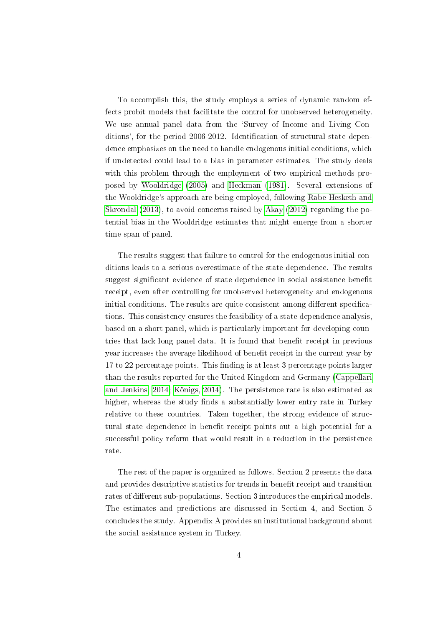To accomplish this, the study employs a series of dynamic random effects probit models that facilitate the control for unobserved heterogeneity. We use annual panel data from the 'Survey of Income and Living Conditions', for the period 2006-2012. Identification of structural state dependence emphasizes on the need to handle endogenous initial conditions, which if undetected could lead to a bias in parameter estimates. The study deals with this problem through the employment of two empirical methods proposed by [Wooldridge](#page-23-2) [\(2005\)](#page-23-2) and [Heckman](#page-22-11) [\(1981\)](#page-22-11). Several extensions of the Wooldridge's approach are being employed, following [Rabe-Hesketh and](#page-23-3) [Skrondal](#page-23-3) [\(2013\)](#page-23-3), to avoid concerns raised by [Akay](#page-21-1) [\(2012\)](#page-21-1) regarding the potential bias in the Wooldridge estimates that might emerge from a shorter time span of panel.

The results suggest that failure to control for the endogenous initial conditions leads to a serious overestimate of the state dependence. The results suggest significant evidence of state dependence in social assistance benefit receipt, even after controlling for unobserved heterogeneity and endogenous initial conditions. The results are quite consistent among different specifications. This consistency ensures the feasibility of a state dependence analysis, based on a short panel, which is particularly important for developing countries that lack long panel data. It is found that benefit receipt in previous year increases the average likelihood of benefit receipt in the current year by  $17$  to  $22$  percentage points. This finding is at least 3 percentage points larger than the results reported for the United Kingdom and Germany [\(Cappellari](#page-22-0) [and Jenkins, 2014;](#page-22-0) [Königs, 2014\)](#page-22-2). The persistence rate is also estimated as higher, whereas the study finds a substantially lower entry rate in Turkey relative to these countries. Taken together, the strong evidence of structural state dependence in benefit receipt points out a high potential for a successful policy reform that would result in a reduction in the persistence rate.

The rest of the paper is organized as follows. Section 2 presents the data and provides descriptive statistics for trends in benefit receipt and transition rates of different sub-populations. Section 3 introduces the empirical models. The estimates and predictions are discussed in Section 4, and Section 5 concludes the study. Appendix A provides an institutional background about the social assistance system in Turkey.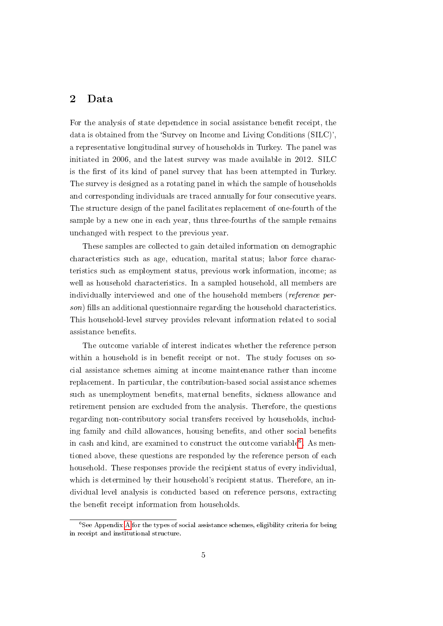### 2 Data

For the analysis of state dependence in social assistance benefit receipt, the data is obtained from the `Survey on Income and Living Conditions (SILC)', a representative longitudinal survey of households in Turkey. The panel was initiated in 2006, and the latest survey was made available in 2012. SILC is the first of its kind of panel survey that has been attempted in Turkey. The survey is designed as a rotating panel in which the sample of households and corresponding individuals are traced annually for four consecutive years. The structure design of the panel facilitates replacement of one-fourth of the sample by a new one in each year, thus three-fourths of the sample remains unchanged with respect to the previous year.

These samples are collected to gain detailed information on demographic characteristics such as age, education, marital status; labor force characteristics such as employment status, previous work information, income; as well as household characteristics. In a sampled household, all members are individually interviewed and one of the household members (reference per $son)$  fills an additional questionnaire regarding the household characteristics. This household-level survey provides relevant information related to social assistance benefits.

The outcome variable of interest indicates whether the reference person within a household is in benefit receipt or not. The study focuses on social assistance schemes aiming at income maintenance rather than income replacement. In particular, the contribution-based social assistance schemes such as unemployment benefits, maternal benefits, sickness allowance and retirement pension are excluded from the analysis. Therefore, the questions regarding non-contributory social transfers received by households, including family and child allowances, housing benefits, and other social benefits in cash and kind, are examined to construct the outcome variable<sup>[6](#page-6-0)</sup>. As mentioned above, these questions are responded by the reference person of each household. These responses provide the recipient status of every individual, which is determined by their household's recipient status. Therefore, an individual level analysis is conducted based on reference persons, extracting the benefit receipt information from households.

<span id="page-6-0"></span> ${}^{6}$ See [A](#page-31-0)ppendix A for the types of social assistance schemes, eligibility criteria for being in receipt and institutional structure.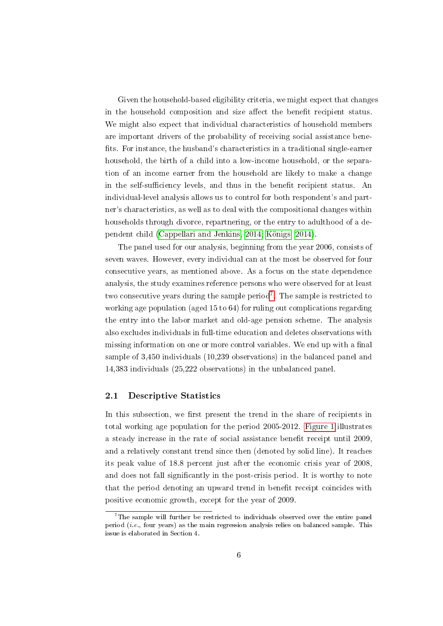Given the household-based eligibility criteria, we might expect that changes in the household composition and size affect the benefit recipient status. We might also expect that individual characteristics of household members are important drivers of the probability of receiving social assistance bene fits. For instance, the husband's characteristics in a traditional single-earner household, the birth of a child into a low-income household, or the separation of an income earner from the household are likely to make a change in the self-sufficiency levels, and thus in the benefit recipient status. An individual-level analysis allows us to control for both respondent's and partner's characteristics, as well as to deal with the compositional changes within households through divorce, repartnering, or the entry to adulthood of a dependent child [\(Cappellari and Jenkins, 2014;](#page-22-0) [Königs, 2014\)](#page-22-2).

The panel used for our analysis, beginning from the year 2006, consists of seven waves. However, every individual can at the most be observed for four consecutive years, as mentioned above. As a focus on the state dependence analysis, the study examines reference persons who were observed for at least two consecutive years during the sample period<sup>[7](#page-7-0)</sup>. The sample is restricted to working age population (aged 15 to 64) for ruling out complications regarding the entry into the labor market and old-age pension scheme. The analysis also excludes individuals in full-time education and deletes observations with missing information on one or more control variables. We end up with a final sample of 3,450 individuals (10,239 observations) in the balanced panel and 14,383 individuals (25,222 observations) in the unbalanced panel.

#### 2.1 Descriptive Statistics

In this subsection, we first present the trend in the share of recipients in total working age population for the period 2005-2012. [Figure 1](#page-24-0) illustrates a steady increase in the rate of social assistance benefit receipt until 2009. and a relatively constant trend since then (denoted by solid line). It reaches its peak value of 18.8 percent just after the economic crisis year of 2008, and does not fall significantly in the post-crisis period. It is worthy to note that the period denoting an upward trend in benefit receipt coincides with positive economic growth, except for the year of 2009.

<span id="page-7-0"></span> $7$ The sample will further be restricted to individuals observed over the entire panel period (i.e., four years) as the main regression analysis relies on balanced sample. This issue is elaborated in Section 4.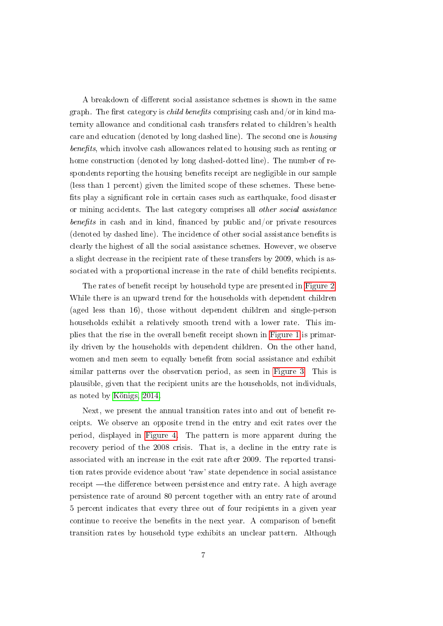A breakdown of different social assistance schemes is shown in the same graph. The first category is *child benefits* comprising cash and/or in kind maternity allowance and conditional cash transfers related to children's health care and education (denoted by long dashed line). The second one is housing  $benefts$ , which involve cash allowances related to housing such as renting or home construction (denoted by long dashed-dotted line). The number of respondents reporting the housing benefits receipt are negligible in our sample (less than 1 percent) given the limited scope of these schemes. These bene fits play a significant role in certain cases such as earthquake, food disaster or mining accidents. The last category comprises all other social assistance benefits in cash and in kind, financed by public and/or private resources (denoted by dashed line). The incidence of other social assistance benefits is clearly the highest of all the social assistance schemes. However, we observe a slight decrease in the recipient rate of these transfers by 2009, which is associated with a proportional increase in the rate of child benefits recipients.

The rates of benefit receipt by household type are presented in [Figure 2.](#page-24-1) While there is an upward trend for the households with dependent children (aged less than 16), those without dependent children and single-person households exhibit a relatively smooth trend with a lower rate. This im-plies that the rise in the overall benefit receipt shown in [Figure 1](#page-24-0) is primarily driven by the households with dependent children. On the other hand, women and men seem to equally benefit from social assistance and exhibit similar patterns over the observation period, as seen in [Figure 3.](#page-25-1) This is plausible, given that the recipient units are the households, not individuals, as noted by [Königs, 2014.](#page-22-2)

Next, we present the annual transition rates into and out of benefit receipts. We observe an opposite trend in the entry and exit rates over the period, displayed in [Figure 4.](#page-25-0) The pattern is more apparent during the recovery period of the 2008 crisis. That is, a decline in the entry rate is associated with an increase in the exit rate after 2009. The reported transition rates provide evidence about `raw' state dependence in social assistance receipt - the difference between persistence and entry rate. A high average persistence rate of around 80 percent together with an entry rate of around 5 percent indicates that every three out of four recipients in a given year continue to receive the benefits in the next year. A comparison of benefit transition rates by household type exhibits an unclear pattern. Although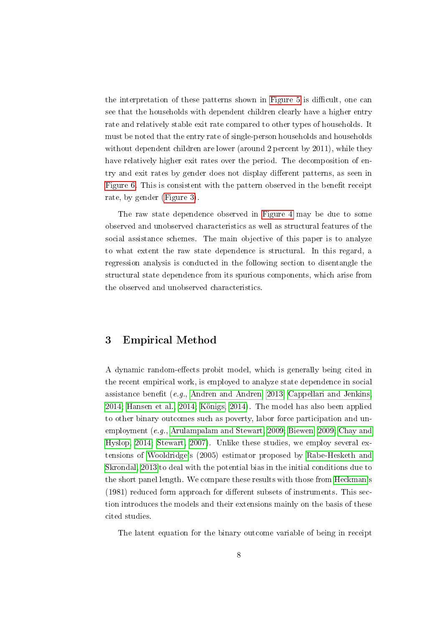the interpretation of these patterns shown in [Figure 5](#page-26-0) is difficult, one can see that the households with dependent children clearly have a higher entry rate and relatively stable exit rate compared to other types of households. It must be noted that the entry rate of single-person households and households without dependent children are lower (around 2 percent by 2011), while they have relatively higher exit rates over the period. The decomposition of entry and exit rates by gender does not display different patterns, as seen in [Figure 6.](#page-26-1) This is consistent with the pattern observed in the benefit receipt rate, by gender [\(Figure 3\)](#page-25-1).

The raw state dependence observed in [Figure 4](#page-25-0) may be due to some observed and unobserved characteristics as well as structural features of the social assistance schemes. The main objective of this paper is to analyze to what extent the raw state dependence is structural. In this regard, a regression analysis is conducted in the following section to disentangle the structural state dependence from its spurious components, which arise from the observed and unobserved characteristics.

### 3 Empirical Method

A dynamic random-effects probit model, which is generally being cited in the recent empirical work, is employed to analyze state dependence in social assistance benefit (e.g., [Andren and Andren, 2013;](#page-21-0) [Cappellari and Jenkins,](#page-22-0) [2014;](#page-22-0) [Hansen et al., 2014;](#page-22-1) [Königs, 2014\)](#page-22-2). The model has also been applied to other binary outcomes such as poverty, labor force participation and unemployment (e.g., [Arulampalam and Stewart, 2009;](#page-21-2) [Biewen, 2009;](#page-22-12) [Chay and](#page-22-13) [Hyslop, 2014;](#page-22-13) [Stewart, 2007\)](#page-23-4). Unlike these studies, we employ several extensions of [Wooldridge](#page-23-2)'s (2005) estimator proposed by [Rabe-Hesketh and](#page-23-3) [Skrondal, 2013](#page-23-3) to deal with the potential bias in the initial conditions due to the short panel length. We compare these results with those from [Heckman'](#page-22-11)s  $(1981)$  reduced form approach for different subsets of instruments. This section introduces the models and their extensions mainly on the basis of these cited studies.

The latent equation for the binary outcome variable of being in receipt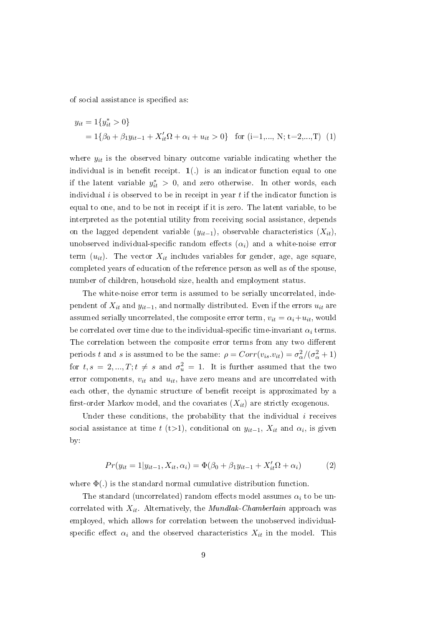of social assistance is specified as:

<span id="page-10-0"></span>
$$
y_{it} = 1\{y_{it}^* > 0\}
$$
  
= 1{ $\beta_0 + \beta_1 y_{it-1} + X_{it}'\Omega + \alpha_i + u_{it} > 0$ } for (i=1,..., N; t=2,...,T) (1)

where  $y_{it}$  is the observed binary outcome variable indicating whether the individual is in benefit receipt.  $1(.)$  is an indicator function equal to one if the latent variable  $y_{it}^* > 0$ , and zero otherwise. In other words, each individual i is observed to be in receipt in year  $t$  if the indicator function is equal to one, and to be not in receipt if it is zero. The latent variable, to be interpreted as the potential utility from receiving social assistance, depends on the lagged dependent variable  $(y_{it-1})$ , observable characteristics  $(X_{it})$ , unobserved individual-specific random effects  $(\alpha_i)$  and a white-noise error term  $(u_{it})$ . The vector  $X_{it}$  includes variables for gender, age, age square, completed years of education of the reference person as well as of the spouse, number of children, household size, health and employment status.

The white-noise error term is assumed to be serially uncorrelated, independent of  $X_{it}$  and  $y_{it-1}$ , and normally distributed. Even if the errors  $u_{it}$  are assumed serially uncorrelated, the composite error term,  $v_{it} = \alpha_i + u_{it}$ , would be correlated over time due to the individual-specific time-invariant  $\alpha_i$  terms. The correlation between the composite error terms from any two different periods t and s is assumed to be the same:  $\rho = Corr(v_{is}.v_{it}) = \sigma_{\alpha}^2/(\sigma_{\alpha}^2 + 1)$ for  $t, s = 2, ..., T; t \neq s$  and  $\sigma_u^2 = 1$ . It is further assumed that the two error components,  $v_{it}$  and  $u_{it}$ , have zero means and are uncorrelated with each other, the dynamic structure of benefit receipt is approximated by a first-order Markov model, and the covariates  $(X_{it})$  are strictly exogenous.

Under these conditions, the probability that the individual  $i$  receives social assistance at time  $t$  (t>1), conditional on  $y_{it-1}$ ,  $X_{it}$  and  $\alpha_i$ , is given by:

<span id="page-10-1"></span>
$$
Pr(y_{it} = 1|y_{it-1}, X_{it}, \alpha_i) = \Phi(\beta_0 + \beta_1 y_{it-1} + X_{it}' \Omega + \alpha_i)
$$
(2)

where  $\Phi(.)$  is the standard normal cumulative distribution function.

The standard (uncorrelated) random effects model assumes  $\alpha_i$  to be uncorrelated with  $X_{it}$ . Alternatively, the *Mundlak-Chamberlain* approach was employed, which allows for correlation between the unobserved individualspecific effect  $\alpha_i$  and the observed characteristics  $X_{it}$  in the model. This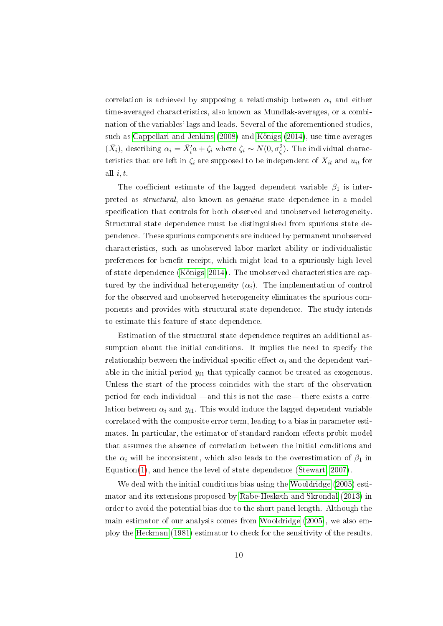correlation is achieved by supposing a relationship between  $\alpha_i$  and either time-averaged characteristics, also known as Mundlak-averages, or a combination of the variables' lags and leads. Several of the aforementioned studies, such as [Cappellari and Jenkins](#page-22-10) [\(2008\)](#page-22-10) and [Königs](#page-22-2) [\(2014\)](#page-22-2), use time-averages  $(\bar{X}_i)$ , describing  $\alpha_i = \bar{X}_i' a + \zeta_i$  where  $\zeta_i \sim N(0, \sigma_{\zeta}^2)$ . The individual characteristics that are left in  $\zeta_i$  are supposed to be independent of  $X_{it}$  and  $u_{it}$  for all  $i, t$ .

The coefficient estimate of the lagged dependent variable  $\beta_1$  is interpreted as structural, also known as genuine state dependence in a model specification that controls for both observed and unobserved heterogeneity. Structural state dependence must be distinguished from spurious state dependence. These spurious components are induced by permanent unobserved characteristics, such as unobserved labor market ability or individualistic preferences for benefit receipt, which might lead to a spuriously high level of state dependence [\(Königs, 2014\)](#page-22-2). The unobserved characteristics are captured by the individual heterogeneity  $(\alpha_i)$ . The implementation of control for the observed and unobserved heterogeneity eliminates the spurious components and provides with structural state dependence. The study intends to estimate this feature of state dependence.

Estimation of the structural state dependence requires an additional assumption about the initial conditions. It implies the need to specify the relationship between the individual specific effect  $\alpha_i$  and the dependent variable in the initial period  $y_{i1}$  that typically cannot be treated as exogenous. Unless the start of the process coincides with the start of the observation period for each individual —and this is not the case— there exists a correlation between  $\alpha_i$  and  $y_{i1}$ . This would induce the lagged dependent variable correlated with the composite error term, leading to a bias in parameter estimates. In particular, the estimator of standard random effects probit model that assumes the absence of correlation between the initial conditions and the  $\alpha_i$  will be inconsistent, which also leads to the overestimation of  $\beta_1$  in Equation[\(1\)](#page-10-0), and hence the level of state dependence [\(Stewart, 2007\)](#page-23-4).

We deal with the initial conditions bias using the [Wooldridge](#page-23-2) [\(2005\)](#page-23-2) estimator and its extensions proposed by [Rabe-Hesketh and Skrondal](#page-23-3) [\(2013\)](#page-23-3) in order to avoid the potential bias due to the short panel length. Although the main estimator of our analysis comes from [Wooldridge](#page-23-2) [\(2005\)](#page-23-2), we also employ the [Heckman](#page-22-11) [\(1981\)](#page-22-11) estimator to check for the sensitivity of the results.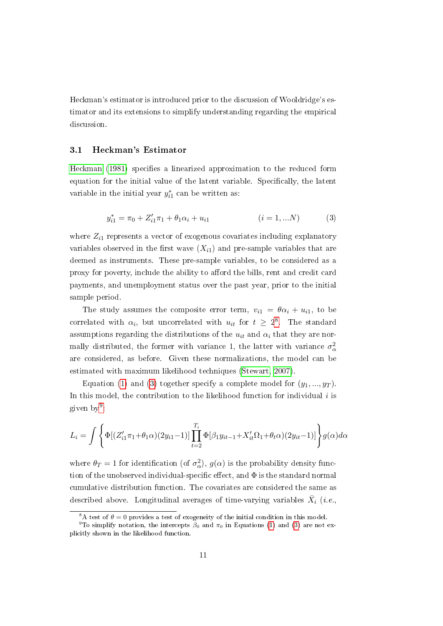Heckman's estimator is introduced prior to the discussion of Wooldridge's estimator and its extensions to simplify understanding regarding the empirical discussion.

#### 3.1 Heckman's Estimator

[Heckman](#page-22-11) [\(1981\)](#page-22-11) specifies a linearized approximation to the reduced form equation for the initial value of the latent variable. Specifically, the latent variable in the initial year  $y_{i1}^*$  can be written as:

<span id="page-12-1"></span>
$$
y_{i1}^* = \pi_0 + Z_{i1}'\pi_1 + \theta_1\alpha_i + u_{i1} \qquad (i = 1,...N)
$$
 (3)

where  $Z_{i1}$  represents a vector of exogenous covariates including explanatory variables observed in the first wave  $(X_{i1})$  and pre-sample variables that are deemed as instruments. These pre-sample variables, to be considered as a proxy for poverty, include the ability to afford the bills, rent and credit card payments, and unemployment status over the past year, prior to the initial sample period.

The study assumes the composite error term,  $v_{i1} = \theta \alpha_i + u_{i1}$ , to be correlated with  $\alpha_i$ , but uncorrelated with  $u_{it}$  for  $t \geq 2^8$  $t \geq 2^8$ . The standard assumptions regarding the distributions of the  $u_{it}$  and  $\alpha_i$  that they are normally distributed, the former with variance 1, the latter with variance  $\sigma_{\alpha}^2$ are considered, as before. Given these normalizations, the model can be estimated with maximum likelihood techniques [\(Stewart, 2007\)](#page-23-4).

Equation [\(1\)](#page-10-0) and [\(3\)](#page-12-1) together specify a complete model for  $(y_1, ..., y_T)$ . In this model, the contribution to the likelihood function for individual  $i$  is given by<sup>[9](#page-12-2)</sup>:

<span id="page-12-3"></span>
$$
L_{i} = \int \left\{ \Phi[(Z'_{i1}\pi_{1} + \theta_{1}\alpha)(2y_{i1} - 1)] \prod_{t=2}^{T_{i}} \Phi[\beta_{1}y_{it-1} + X'_{it}\Omega_{1} + \theta_{t}\alpha)(2y_{it} - 1)] \right\} g(\alpha) d\alpha
$$

where  $\theta_T = 1$  for identification (of  $\sigma_\alpha^2$ ),  $g(\alpha)$  is the probability density function of the unobserved individual-specific effect, and  $\Phi$  is the standard normal cumulative distribution function. The covariates are considered the same as described above. Longitudinal averages of time-varying variables  $\bar{X_i}$  (i.e.,

<span id="page-12-2"></span><span id="page-12-0"></span><sup>&</sup>lt;sup>8</sup>A test of  $\theta = 0$  provides a test of exogeneity of the initial condition in this model.

<sup>&</sup>lt;sup>9</sup>To simplify notation, the intercepts  $\beta_0$  and  $\pi_0$  in Equations [\(1\)](#page-10-0) and [\(3\)](#page-12-1) are not explicitly shown in the likelihood function.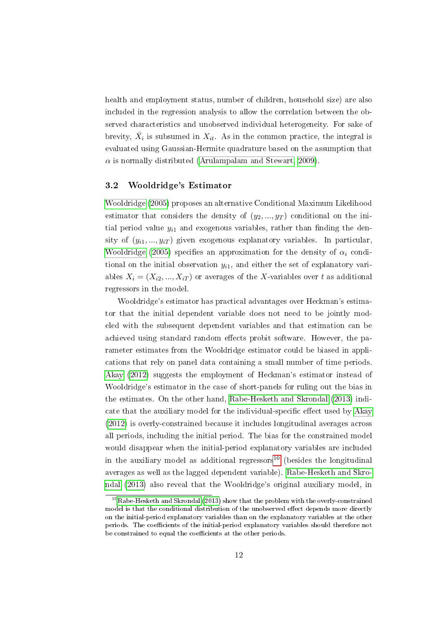health and employment status, number of children, household size) are also included in the regression analysis to allow the correlation between the observed characteristics and unobserved individual heterogeneity. For sake of brevity,  $\bar{X}_i$  is subsumed in  $X_{it}$ . As in the common practice, the integral is evaluated using Gaussian-Hermite quadrature based on the assumption that  $\alpha$  is normally distributed [\(Arulampalam and Stewart, 2009\)](#page-21-2).

#### 3.2 Wooldridge's Estimator

[Wooldridge](#page-23-2) [\(2005\)](#page-23-2) proposes an alternative Conditional Maximum Likelihood estimator that considers the density of  $(y_2, ..., y_T)$  conditional on the initial period value  $y_{i1}$  and exogenous variables, rather than finding the density of  $(y_{i1},...,y_{iT})$  given exogenous explanatory variables. In particular, [Wooldridge](#page-23-2) [\(2005\)](#page-23-2) specifies an approximation for the density of  $\alpha_i$  conditional on the initial observation  $y_{i1}$ , and either the set of explanatory variables  $X_i = (X_{i2}, ..., X_{iT})$  or averages of the X-variables over t as additional regressors in the model.

Wooldridge's estimator has practical advantages over Heckman's estimator that the initial dependent variable does not need to be jointly modeled with the subsequent dependent variables and that estimation can be achieved using standard random effects probit software. However, the parameter estimates from the Wooldridge estimator could be biased in applications that rely on panel data containing a small number of time periods. [Akay](#page-21-1) [\(2012\)](#page-21-1) suggests the employment of Heckman's estimator instead of Wooldridge's estimator in the case of short-panels for ruling out the bias in the estimates. On the other hand, [Rabe-Hesketh and Skrondal](#page-23-3) [\(2013\)](#page-23-3) indi-cate that the auxiliary model for the individual-specific effect used by [Akay](#page-21-1) [\(2012\)](#page-21-1) is overly-constrained because it includes longitudinal averages across all periods, including the initial period. The bias for the constrained model would disappear when the initial-period explanatory variables are included in the auxiliary model as additional regressors<sup>[10](#page-13-0)</sup> (besides the longitudinal averages as well as the lagged dependent variable). [Rabe-Hesketh and Skro](#page-23-3)[ndal](#page-23-3) [\(2013\)](#page-23-3) also reveal that the Wooldridge's original auxiliary model, in

<span id="page-13-0"></span><sup>&</sup>lt;sup>10</sup>[Rabe-Hesketh and Skrondal](#page-23-3) [\(2013\)](#page-23-3) show that the problem with the overly-constrained model is that the conditional distribution of the unobserved effect depends more directly on the initial-period explanatory variables than on the explanatory variables at the other periods. The coefficients of the initial-period explanatory variables should therefore not be constrained to equal the coefficients at the other periods.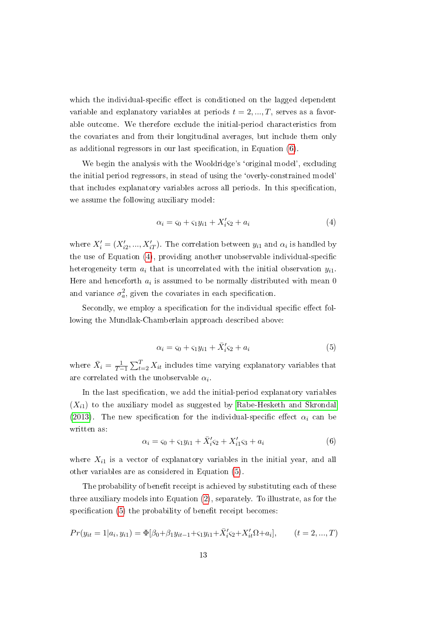which the individual-specific effect is conditioned on the lagged dependent variable and explanatory variables at periods  $t = 2, ..., T$ , serves as a favorable outcome. We therefore exclude the initial-period characteristics from the covariates and from their longitudinal averages, but include them only as additional regressors in our last specification, in Equation  $(6)$ .

We begin the analysis with the Wooldridge's 'original model', excluding the initial period regressors, in stead of using the `overly-constrained model' that includes explanatory variables across all periods. In this specification, we assume the following auxiliary model:

$$
\alpha_i = s_0 + s_1 y_{i1} + X_i's_2 + a_i \tag{4}
$$

where  $X'_{i} = (X'_{i2}, ..., X'_{iT})$ . The correlation between  $y_{i1}$  and  $\alpha_{i}$  is handled by the use of Equation  $(4)$ , providing another unobservable individual-specific heterogeneity term  $a_i$  that is uncorrelated with the initial observation  $y_{i1}$ . Here and henceforth  $a_i$  is assumed to be normally distributed with mean  $0$ and variance  $\sigma_a^2$ , given the covariates in each specification.

Secondly, we employ a specification for the individual specific effect following the Mundlak-Chamberlain approach described above:

<span id="page-14-1"></span>
$$
\alpha_i = s_0 + s_1 y_{i1} + \bar{X}'_i s_2 + a_i \tag{5}
$$

where  $\bar{X}_i = \frac{1}{T-1} \sum_{t=2}^T X_{it}$  includes time varying explanatory variables that are correlated with the unobservable  $\alpha_i$ .

In the last specification, we add the initial-period explanatory variables  $(X_{i1})$  to the auxiliary model as suggested by [Rabe-Hesketh and Skrondal](#page-23-3) [\(2013\)](#page-23-3). The new specification for the individual-specific effect  $\alpha_i$  can be written as:

<span id="page-14-0"></span>
$$
\alpha_i = s_0 + s_1 y_{i1} + \bar{X}'_i s_2 + X'_{i1} s_3 + a_i \tag{6}
$$

where  $X_{i1}$  is a vector of explanatory variables in the initial year, and all other variables are as considered in Equation [\(5\)](#page-14-1).

The probability of benefit receipt is achieved by substituting each of these three auxiliary models into Equation [\(2\)](#page-10-1), separately. To illustrate, as for the specification  $(5)$  the probability of benefit receipt becomes:

$$
Pr(y_{it} = 1 | a_i, y_{i1}) = \Phi[\beta_0 + \beta_1 y_{it-1} + \varsigma_1 y_{i1} + \overline{X}_i' \varsigma_2 + X_{it}' \Omega + a_i], \qquad (t = 2, ..., T)
$$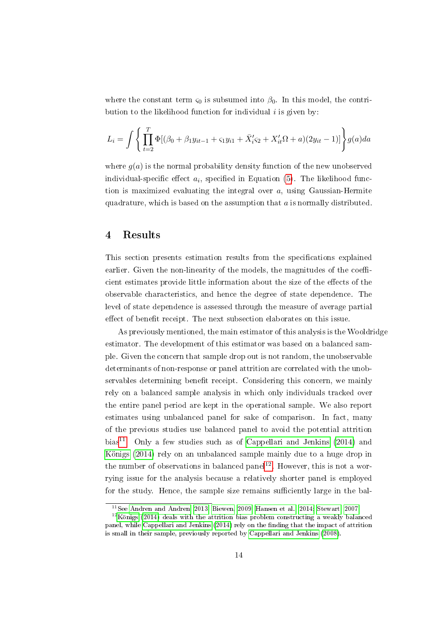where the constant term  $\varsigma_0$  is subsumed into  $\beta_0$ . In this model, the contribution to the likelihood function for individual  $i$  is given by:

$$
L_i = \int \left\{ \prod_{t=2}^T \Phi[(\beta_0 + \beta_1 y_{it-1} + \varsigma_1 y_{i1} + \bar{X}'_i \varsigma_2 + X'_{it} \Omega + a)(2y_{it} - 1)] \right\} g(a) da
$$

where  $g(a)$  is the normal probability density function of the new unobserved individual-specific effect  $a_i$ , specified in Equation [\(5\)](#page-14-1). The likelihood function is maximized evaluating the integral over  $a$ , using Gaussian-Hermite quadrature, which is based on the assumption that  $a$  is normally distributed.

### 4 Results

This section presents estimation results from the specifications explained earlier. Given the non-linearity of the models, the magnitudes of the coefficient estimates provide little information about the size of the effects of the observable characteristics, and hence the degree of state dependence. The level of state dependence is assessed through the measure of average partial effect of benefit receipt. The next subsection elaborates on this issue.

As previously mentioned, the main estimator of this analysis is the Wooldridge estimator. The development of this estimator was based on a balanced sample. Given the concern that sample drop out is not random, the unobservable determinants of non-response or panel attrition are correlated with the unobservables determining benefit receipt. Considering this concern, we mainly rely on a balanced sample analysis in which only individuals tracked over the entire panel period are kept in the operational sample. We also report estimates using unbalanced panel for sake of comparison. In fact, many of the previous studies use balanced panel to avoid the potential attrition bias<sup>[11](#page-15-0)</sup>. Only a few studies such as of [Cappellari and Jenkins](#page-22-0)  $(2014)$  and [Königs](#page-22-2) [\(2014\)](#page-22-2) rely on an unbalanced sample mainly due to a huge drop in the number of observations in balanced panel<sup>[12](#page-15-1)</sup>. However, this is not a worrying issue for the analysis because a relatively shorter panel is employed for the study. Hence, the sample size remains sufficiently large in the bal-

<span id="page-15-1"></span><span id="page-15-0"></span><sup>11</sup>See [Andren and Andren, 2013;](#page-21-0) [Biewen, 2009;](#page-22-12) [Hansen et al., 2014;](#page-22-1) [Stewart, 2007.](#page-23-4)

 $12$ [Königs](#page-22-2) [\(2014\)](#page-22-2) deals with the attrition bias problem constructing a weakly balanced panel, while [Cappellari and Jenkins](#page-22-0)  $(2014)$  rely on the finding that the impact of attrition is small in their sample, previously reported by [Cappellari and Jenkins](#page-22-10) [\(2008\)](#page-22-10).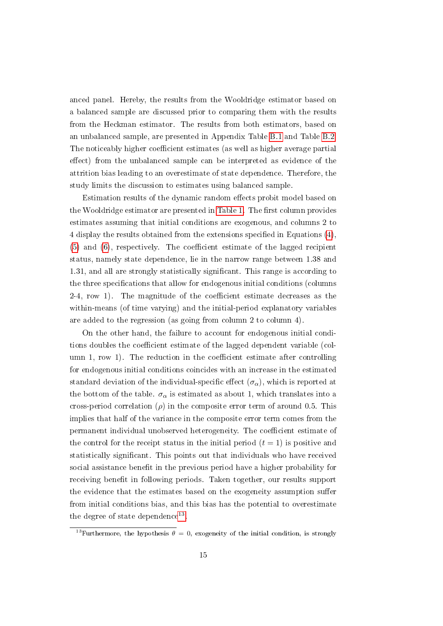anced panel. Hereby, the results from the Wooldridge estimator based on a balanced sample are discussed prior to comparing them with the results from the Heckman estimator. The results from both estimators, based on an unbalanced sample, are presented in Appendix Table [B.1](#page-33-0) and Table [B.2.](#page-35-0) The noticeably higher coefficient estimates (as well as higher average partial effect) from the unbalanced sample can be interpreted as evidence of the attrition bias leading to an overestimate of state dependence. Therefore, the study limits the discussion to estimates using balanced sample.

Estimation results of the dynamic random effects probit model based on the Wooldridge estimator are presented in [Table 1.](#page-27-0) The first column provides estimates assuming that initial conditions are exogenous, and columns 2 to 4 display the results obtained from the extensions specified in Equations [\(4\)](#page-12-3),  $(5)$  and  $(6)$ , respectively. The coefficient estimate of the lagged recipient status, namely state dependence, lie in the narrow range between 1.38 and 1.31, and all are strongly statistically signicant. This range is according to the three specifications that allow for endogenous initial conditions (columns  $2-4$ , row 1). The magnitude of the coefficient estimate decreases as the within-means (of time varying) and the initial-period explanatory variables are added to the regression (as going from column 2 to column 4).

On the other hand, the failure to account for endogenous initial conditions doubles the coefficient estimate of the lagged dependent variable (column 1, row 1). The reduction in the coefficient estimate after controlling for endogenous initial conditions coincides with an increase in the estimated standard deviation of the individual-specific effect  $(\sigma_{\alpha})$ , which is reported at the bottom of the table.  $\sigma_{\alpha}$  is estimated as about 1, which translates into a cross-period correlation  $(\rho)$  in the composite error term of around 0.5. This implies that half of the variance in the composite error term comes from the permanent individual unobserved heterogeneity. The coefficient estimate of the control for the receipt status in the initial period  $(t = 1)$  is positive and statistically signicant. This points out that individuals who have received social assistance benefit in the previous period have a higher probability for receiving benefit in following periods. Taken together, our results support the evidence that the estimates based on the exogeneity assumption suffer from initial conditions bias, and this bias has the potential to overestimate the degree of state dependence<sup>[13](#page-16-0)</sup>.

<span id="page-16-0"></span><sup>&</sup>lt;sup>13</sup>Furthermore, the hypothesis  $\theta = 0$ , exogeneity of the initial condition, is strongly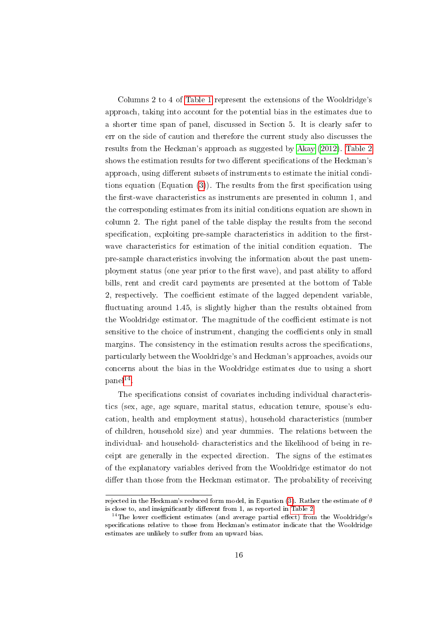Columns 2 to 4 of [Table 1](#page-27-0) represent the extensions of the Wooldridge's approach, taking into account for the potential bias in the estimates due to a shorter time span of panel, discussed in Section 5. It is clearly safer to err on the side of caution and therefore the current study also discusses the results from the Heckman's approach as suggested by [Akay](#page-21-1) [\(2012\)](#page-21-1). [Table 2](#page-29-0) shows the estimation results for two different specifications of the Heckman's approach, using different subsets of instruments to estimate the initial conditions equation (Equation  $(3)$ ). The results from the first specification using the first-wave characteristics as instruments are presented in column 1, and the corresponding estimates from its initial conditions equation are shown in column 2. The right panel of the table display the results from the second specification, exploiting pre-sample characteristics in addition to the firstwave characteristics for estimation of the initial condition equation. The pre-sample characteristics involving the information about the past unemployment status (one year prior to the first wave), and past ability to afford bills, rent and credit card payments are presented at the bottom of Table 2, respectively. The coefficient estimate of the lagged dependent variable, uctuating around 1.45, is slightly higher than the results obtained from the Wooldridge estimator. The magnitude of the coefficient estimate is not sensitive to the choice of instrument, changing the coefficients only in small margins. The consistency in the estimation results across the specifications, particularly between the Wooldridge's and Heckman's approaches, avoids our concerns about the bias in the Wooldridge estimates due to using a short  $\text{panel}^{14}.$  $\text{panel}^{14}.$  $\text{panel}^{14}.$ 

The specifications consist of covariates including individual characteristics (sex, age, age square, marital status, education tenure, spouse's education, health and employment status), household characteristics (number of children, household size) and year dummies. The relations between the individual- and household- characteristics and the likelihood of being in receipt are generally in the expected direction. The signs of the estimates of the explanatory variables derived from the Wooldridge estimator do not differ than those from the Heckman estimator. The probability of receiving

rejected in the Heckman's reduced form model, in Equation [\(3\)](#page-12-1). Rather the estimate of  $\theta$ is close to, and insignificantly different from 1, as reported in [Table 2.](#page-29-0)

<span id="page-17-0"></span><sup>&</sup>lt;sup>14</sup>The lower coefficient estimates (and average partial effect) from the Wooldridge's specifications relative to those from Heckman's estimator indicate that the Wooldridge estimates are unlikely to suffer from an upward bias.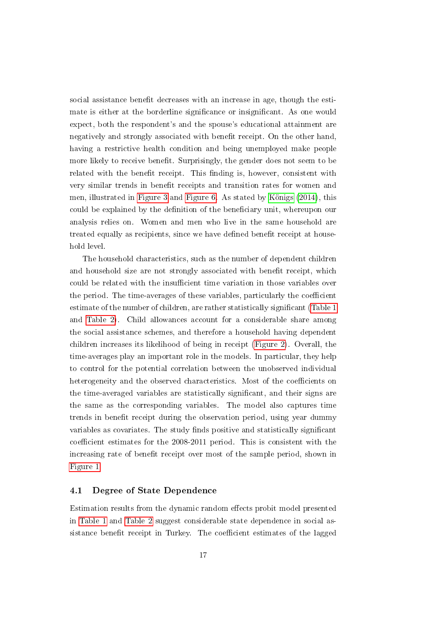social assistance benefit decreases with an increase in age, though the estimate is either at the borderline significance or insignificant. As one would expect, both the respondent's and the spouse's educational attainment are negatively and strongly associated with benefit receipt. On the other hand, having a restrictive health condition and being unemployed make people more likely to receive benefit. Surprisingly, the gender does not seem to be related with the benefit receipt. This finding is, however, consistent with very similar trends in benefit receipts and transition rates for women and men, illustrated in [Figure 3](#page-25-1) and [Figure 6.](#page-26-1) As stated by [Königs](#page-22-2) [\(2014\)](#page-22-2), this could be explained by the definition of the beneficiary unit, whereupon our analysis relies on. Women and men who live in the same household are treated equally as recipients, since we have defined benefit receipt at household level.

The household characteristics, such as the number of dependent children and household size are not strongly associated with benefit receipt, which could be related with the insufficient time variation in those variables over the period. The time-averages of these variables, particularly the coefficient estimate of the number of children, are rather statistically signicant [\(Table 1](#page-27-0) and [Table 2\)](#page-29-0). Child allowances account for a considerable share among the social assistance schemes, and therefore a household having dependent children increases its likelihood of being in receipt [\(Figure 2\)](#page-24-1). Overall, the time-averages play an important role in the models. In particular, they help to control for the potential correlation between the unobserved individual heterogeneity and the observed characteristics. Most of the coefficients on the time-averaged variables are statistically signicant, and their signs are the same as the corresponding variables. The model also captures time trends in benefit receipt during the observation period, using year dummy variables as covariates. The study finds positive and statistically significant coefficient estimates for the 2008-2011 period. This is consistent with the increasing rate of benefit receipt over most of the sample period, shown in [Figure 1.](#page-24-0)

#### 4.1 Degree of State Dependence

Estimation results from the dynamic random effects probit model presented in [Table 1](#page-27-0) and [Table 2](#page-29-0) suggest considerable state dependence in social assistance benefit receipt in Turkey. The coefficient estimates of the lagged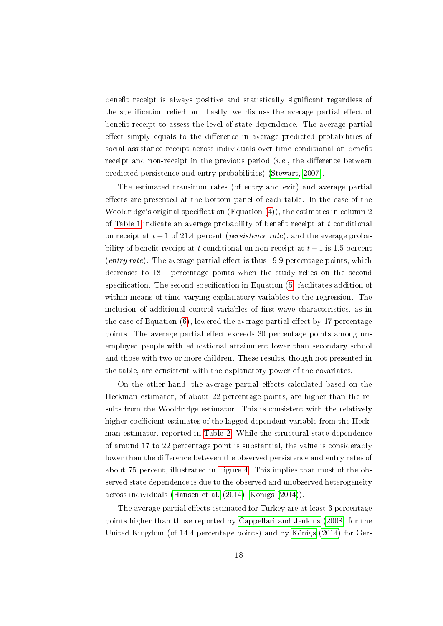benefit receipt is always positive and statistically significant regardless of the specification relied on. Lastly, we discuss the average partial effect of benefit receipt to assess the level of state dependence. The average partial effect simply equals to the difference in average predicted probabilities of social assistance receipt across individuals over time conditional on benefit receipt and non-receipt in the previous period  $(i.e.,$  the difference between predicted persistence and entry probabilities) [\(Stewart, 2007\)](#page-23-4).

The estimated transition rates (of entry and exit) and average partial effects are presented at the bottom panel of each table. In the case of the Wooldridge's original specification (Equation  $(4)$ ), the estimates in column 2 of [Table 1](#page-27-0) indicate an average probability of benefit receipt at  $t$  conditional on receipt at  $t - 1$  of 21.4 percent (*persistence rate*), and the average probability of benefit receipt at t conditional on non-receipt at  $t-1$  is 1.5 percent (entry rate). The average partial effect is thus 19.9 percentage points, which decreases to 18.1 percentage points when the study relies on the second specification. The second specification in Equation  $(5)$  facilitates addition of within-means of time varying explanatory variables to the regression. The inclusion of additional control variables of first-wave characteristics, as in the case of Equation  $(6)$ , lowered the average partial effect by 17 percentage points. The average partial effect exceeds 30 percentage points among unemployed people with educational attainment lower than secondary school and those with two or more children. These results, though not presented in the table, are consistent with the explanatory power of the covariates.

On the other hand, the average partial effects calculated based on the Heckman estimator, of about 22 percentage points, are higher than the results from the Wooldridge estimator. This is consistent with the relatively higher coefficient estimates of the lagged dependent variable from the Heckman estimator, reported in [Table 2.](#page-29-0) While the structural state dependence of around 17 to 22 percentage point is substantial, the value is considerably lower than the difference between the observed persistence and entry rates of about 75 percent, illustrated in [Figure 4.](#page-25-0) This implies that most of the observed state dependence is due to the observed and unobserved heterogeneity across individuals [\(Hansen et al.](#page-22-1) [\(2014\)](#page-22-1); [Königs](#page-22-2) [\(2014\)](#page-22-2)).

The average partial effects estimated for Turkey are at least 3 percentage points higher than those reported by [Cappellari and Jenkins](#page-22-10) [\(2008\)](#page-22-10) for the United Kingdom (of 14.4 percentage points) and by [Königs](#page-22-2) [\(2014\)](#page-22-2) for Ger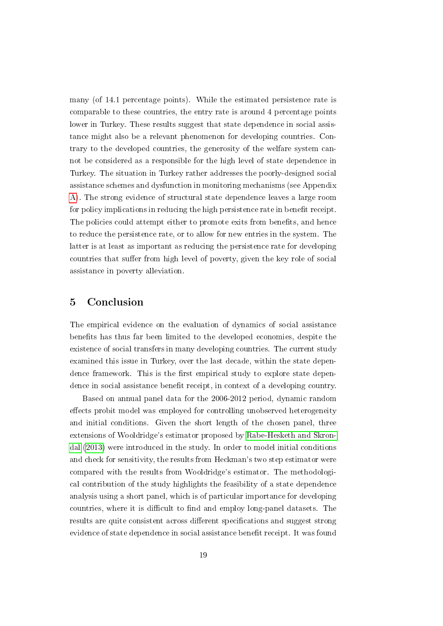many (of 14.1 percentage points). While the estimated persistence rate is comparable to these countries, the entry rate is around 4 percentage points lower in Turkey. These results suggest that state dependence in social assistance might also be a relevant phenomenon for developing countries. Contrary to the developed countries, the generosity of the welfare system cannot be considered as a responsible for the high level of state dependence in Turkey. The situation in Turkey rather addresses the poorly-designed social assistance schemes and dysfunction in monitoring mechanisms (see Appendix [A\)](#page-31-0). The strong evidence of structural state dependence leaves a large room for policy implications in reducing the high persistence rate in benefit receipt. The policies could attempt either to promote exits from benefits, and hence to reduce the persistence rate, or to allow for new entries in the system. The latter is at least as important as reducing the persistence rate for developing countries that suffer from high level of poverty, given the key role of social assistance in poverty alleviation.

## 5 Conclusion

The empirical evidence on the evaluation of dynamics of social assistance benefits has thus far been limited to the developed economies, despite the existence of social transfers in many developing countries. The current study examined this issue in Turkey, over the last decade, within the state dependence framework. This is the first empirical study to explore state dependence in social assistance benefit receipt, in context of a developing country.

Based on annual panel data for the 2006-2012 period, dynamic random effects probit model was employed for controlling unobserved heterogeneity and initial conditions. Given the short length of the chosen panel, three extensions of Wooldridge's estimator proposed by [Rabe-Hesketh and Skron](#page-23-3)[dal](#page-23-3) [\(2013\)](#page-23-3) were introduced in the study. In order to model initial conditions and check for sensitivity, the results from Heckman's two step estimator were compared with the results from Wooldridge's estimator. The methodological contribution of the study highlights the feasibility of a state dependence analysis using a short panel, which is of particular importance for developing countries, where it is difficult to find and employ long-panel datasets. The results are quite consistent across different specifications and suggest strong evidence of state dependence in social assistance benefit receipt. It was found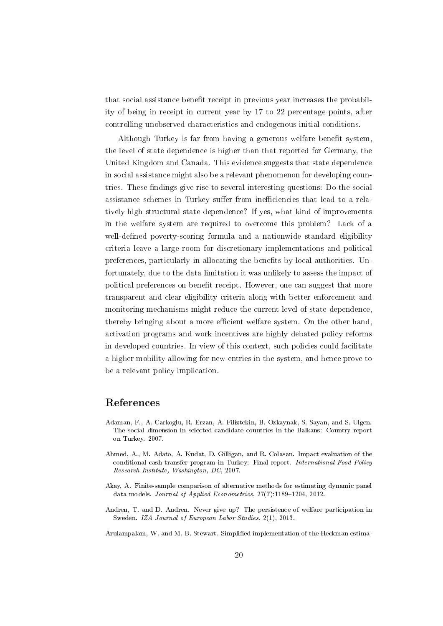that social assistance benefit receipt in previous year increases the probability of being in receipt in current year by 17 to 22 percentage points, after controlling unobserved characteristics and endogenous initial conditions.

Although Turkey is far from having a generous welfare benefit system. the level of state dependence is higher than that reported for Germany, the United Kingdom and Canada. This evidence suggests that state dependence in social assistance might also be a relevant phenomenon for developing countries. These findings give rise to several interesting questions: Do the social assistance schemes in Turkey suffer from inefficiencies that lead to a relatively high structural state dependence? If yes, what kind of improvements in the welfare system are required to overcome this problem? Lack of a well-defined poverty-scoring formula and a nationwide standard eligibility criteria leave a large room for discretionary implementations and political preferences, particularly in allocating the benets by local authorities. Unfortunately, due to the data limitation it was unlikely to assess the impact of political preferences on benefit receipt. However, one can suggest that more transparent and clear eligibility criteria along with better enforcement and monitoring mechanisms might reduce the current level of state dependence, thereby bringing about a more efficient welfare system. On the other hand, activation programs and work incentives are highly debated policy reforms in developed countries. In view of this context, such policies could facilitate a higher mobility allowing for new entries in the system, and hence prove to be a relevant policy implication.

## References

- <span id="page-21-4"></span>Adaman, F., A. Carkoglu, R. Erzan, A. Filiztekin, B. Ozkaynak, S. Sayan, and S. Ulgen. The social dimension in selected candidate countries in the Balkans: Country report on Turkey. 2007.
- <span id="page-21-3"></span>Ahmed, A., M. Adato, A. Kudat, D. Gilligan, and R. Colasan. Impact evaluation of the conditional cash transfer program in Turkey: Final report. International Food Policy Research Institute, Washington, DC, 2007.
- <span id="page-21-1"></span>Akay, A. Finite-sample comparison of alternative methods for estimating dynamic panel data models. Journal of Applied Econometrics,  $27(7)$ :1189-1204, 2012.
- <span id="page-21-0"></span>Andren, T. and D. Andren. Never give up? The persistence of welfare participation in Sweden. IZA Journal of European Labor Studies, 2(1), 2013.
- <span id="page-21-2"></span>Arulampalam, W. and M. B. Stewart. Simplied implementation of the Heckman estima-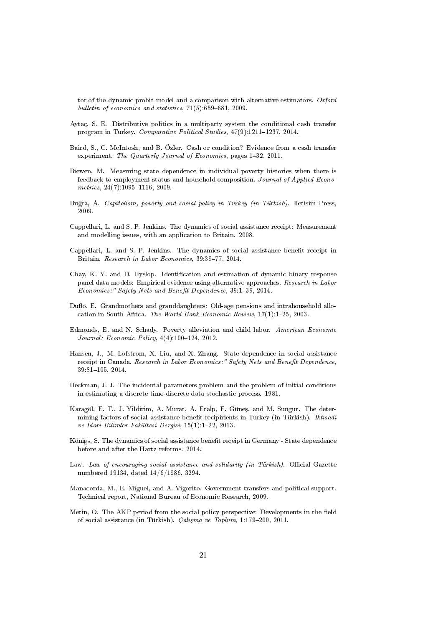tor of the dynamic probit model and a comparison with alternative estimators. Oxford bulletin of economics and statistics,  $71(5):659-681$ , 2009.

- <span id="page-22-8"></span>Aytaç, S. E. Distributive politics in a multiparty system the conditional cash transfer program in Turkey. Comparative Political Studies, 47(9):1211-1237, 2014.
- <span id="page-22-3"></span>Baird, S., C. McIntosh, and B. Özler. Cash or condition? Evidence from a cash transfer experiment. The Quarterly Journal of Economics, pages 1-32, 2011.
- <span id="page-22-12"></span>Biewen, M. Measuring state dependence in individual poverty histories when there is feedback to employment status and household composition. Journal of Applied Econo $metrics, 24(7):1095-1116, 2009.$
- <span id="page-22-7"></span>Bu§ra, A. Capitalism, poverty and social policy in Turkey (in Türkish). Iletisim Press, 2009.
- <span id="page-22-10"></span>Cappellari, L. and S. P. Jenkins. The dynamics of social assistance receipt: Measurement and modelling issues, with an application to Britain. 2008.
- <span id="page-22-0"></span>Cappellari, L. and S. P. Jenkins. The dynamics of social assistance benet receipt in Britain. Research in Labor Economics, 39:39-77, 2014.
- <span id="page-22-13"></span>Chay, K. Y. and D. Hyslop. Identification and estimation of dynamic binary response panel data models: Empirical evidence using alternative approaches. Research in Labor Economics:" Safety Nets and Benefit Dependence, 39:1-39, 2014.
- <span id="page-22-4"></span>Duflo, E. Grandmothers and granddaughters: Old-age pensions and intrahousehold allocation in South Africa. The World Bank Economic Review,  $17(1):1-25$ , 2003.
- <span id="page-22-5"></span>Edmonds, E. and N. Schady. Poverty alleviation and child labor. American Economic Journal: Economic Policy,  $4(4):100-124$ , 2012.
- <span id="page-22-1"></span>Hansen, J., M. Lofstrom, X. Liu, and X. Zhang. State dependence in social assistance receipt in Canada. Research in Labor Economics:" Safety Nets and Benefit Dependence,  $39:81-105, 2014.$
- <span id="page-22-11"></span>Heckman, J. J. The incidental parameters problem and the problem of initial conditions in estimating a discrete time-discrete data stochastic process. 1981.
- <span id="page-22-9"></span>Karagöl, E. T., J. Yildirim, A. Murat, A. Eralp, F. Güneş, and M. Sungur. The determining factors of social assistance benefit recipirients in Turkey (in Türkish). Iktisadi ve İdari Bilimler Fakültesi Dergisi,  $15(1):1-22$ , 2013.
- <span id="page-22-2"></span>Königs, S. The dynamics of social assistance benefit receipt in Germany - State dependence before and after the Hartz reforms. 2014.
- <span id="page-22-15"></span>Law. Law of encouraging social assistance and solidarity (in Türkish). Official Gazette numbered 19134, dated 14/6/1986, 3294.
- <span id="page-22-6"></span>Manacorda, M., E. Miguel, and A. Vigorito. Government transfers and political support. Technical report, National Bureau of Economic Research, 2009.
- <span id="page-22-14"></span>Metin, O. The AKP period from the social policy perspective: Developments in the field of social assistance (in Türkish). *Çalışma ve Toplum*, 1:179-200, 2011.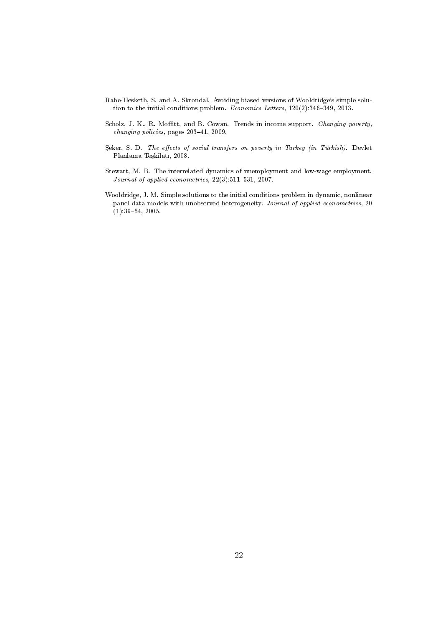- <span id="page-23-3"></span>Rabe-Hesketh, S. and A. Skrondal. Avoiding biased versions of Wooldridge's simple solution to the initial conditions problem. Economics Letters,  $120(2):346-349$ ,  $2013$ .
- <span id="page-23-1"></span>Scholz, J. K., R. Moffitt, and B. Cowan. Trends in income support. Changing poverty,  $changing~policies,~pages~203-41,~2009.$
- <span id="page-23-0"></span>Şeker, S. D. The effects of social transfers on poverty in Turkey (in Türkish). Devlet Planlama Teşkilatı, 2008.
- <span id="page-23-4"></span>Stewart, M. B. The interrelated dynamics of unemployment and low-wage employment. Journal of applied econometrics,  $22(3):511-531$ ,  $2007$ .
- <span id="page-23-2"></span>Wooldridge, J. M. Simple solutions to the initial conditions problem in dynamic, nonlinear panel data models with unobserved heterogeneity. Journal of applied econometrics, 20  $(1):39-54, 2005.$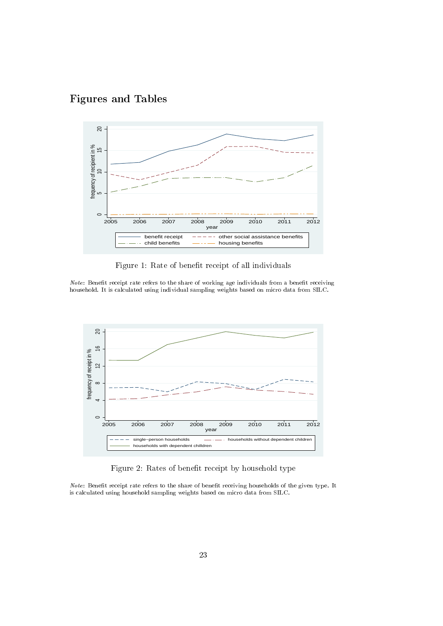

<span id="page-24-0"></span>

Figure 1: Rate of benefit receipt of all individuals

Note: Benefit receipt rate refers to the share of working age individuals from a benefit receiving household. It is calculated using individual sampling weights based on micro data from SILC.

<span id="page-24-1"></span>

Figure 2: Rates of benefit receipt by household type

Note: Benefit receipt rate refers to the share of benefit receiving households of the given type. It is calculated using household sampling weights based on micro data from SILC.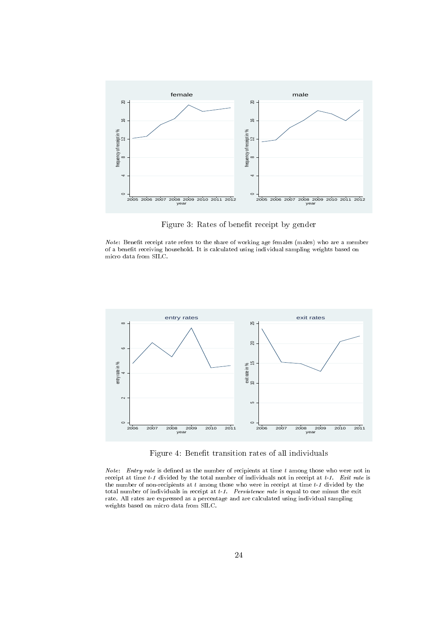<span id="page-25-1"></span>

Figure 3: Rates of benefit receipt by gender

 $Note:$  Benefit receipt rate refers to the share of working age females (males) who are a member of a benefit receiving household. It is calculated using individual sampling weights based on micro data from SILC.

<span id="page-25-0"></span>

Figure 4: Benefit transition rates of all individuals

Note: Entry rate is defined as the number of recipients at time  $t$  among those who were not in receipt at time  $t-1$  divided by the total number of individuals not in receipt at  $t-1$ . Exit rate is the number of non-recipients at  $t$  among those who were in receipt at time  $t$ -1 divided by the total number of individuals in receipt at  $t-1$ . Persistence rate is equal to one minus the exit rate. All rates are expressed as a percentage and are calculated using individual sampling weights based on micro data from SILC.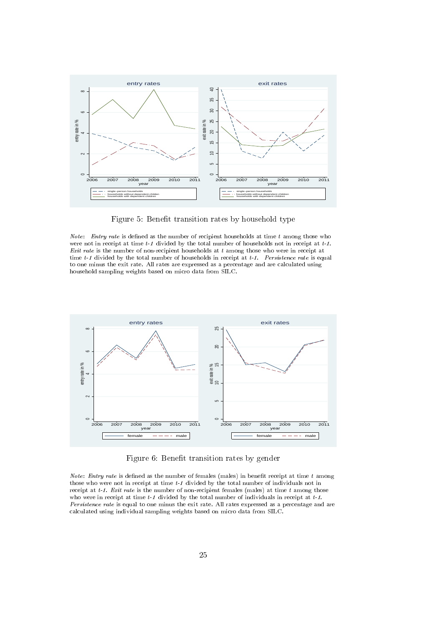<span id="page-26-0"></span>

Figure 5: Benefit transition rates by household type

*Note:* Entry rate is defined as the number of recipient households at time  $t$  among those who were not in receipt at time  $t-1$  divided by the total number of households not in receipt at  $t-1$ . Exit rate is the number of non-recipient households at  $t$  among those who were in receipt at time  $t-1$  divided by the total number of households in receipt at  $t-1$ . Persistence rate is equal to one minus the exit rate. All rates are expressed as a percentage and are calculated using household sampling weights based on micro data from SILC.

<span id="page-26-1"></span>

Figure 6: Benefit transition rates by gender

Note: Entry rate is defined as the number of females (males) in benefit receipt at time  $t$  among those who were not in receipt at time t-1 divided by the total number of individuals not in receipt at  $t-1$ . Exit rate is the number of non-recipient females (males) at time t among those who were in receipt at time  $t \text{-} 1$  divided by the total number of individuals in receipt at  $t \text{-} 1$ . Persistence rate is equal to one minus the exit rate. All rates expressed as a percentage and are calculated using individual sampling weights based on micro data from SILC.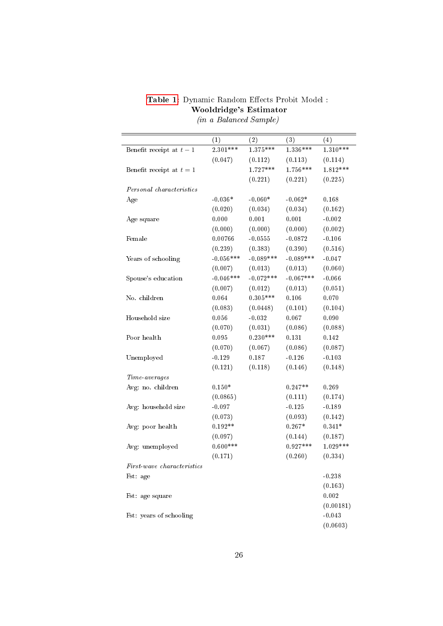| Table 1: Dynamic Random Effects Probit Model: |  |  |                        |  |  |  |  |
|-----------------------------------------------|--|--|------------------------|--|--|--|--|
| Wooldridge's Estimator                        |  |  |                        |  |  |  |  |
|                                               |  |  | $\sqrt{1-\frac{1}{2}}$ |  |  |  |  |

<span id="page-27-0"></span>

|                              | (1)         | (2)         | (3)         | (4)        |
|------------------------------|-------------|-------------|-------------|------------|
| Benefit receipt at $t-1$     | $2.301***$  | $1.375***$  | $1.336***$  | $1.310***$ |
|                              | (0.047)     | (0.112)     | (0.113)     | (0.114)    |
| Benefit receipt at $t=1$     |             | $1.727***$  | 1.756***    | $1.812***$ |
|                              |             | (0.221)     | (0.221)     | (0.225)    |
| Personal characteristics     |             |             |             |            |
| Age                          | $-0.036*$   | $-0.060*$   | $-0.062*$   | 0.168      |
|                              | (0.020)     | (0.034)     | (0.034)     | (0.162)    |
| Age square                   | 0.000       | 0.001       | 0.001       | $-0.002$   |
|                              | (0.000)     | (0.000)     | (0.000)     | (0.002)    |
| Female                       | 0.00766     | $-0.0555$   | $-0.0872$   | $-0.106$   |
|                              | (0.239)     | (0.383)     | (0.390)     | (0.516)    |
| Years of schooling           | $-0.056***$ | $-0.089***$ | $-0.089***$ | $-0.047$   |
|                              | (0.007)     | (0.013)     | (0.013)     | (0.060)    |
| Spouse's education           | $-0.046***$ | $-0.072***$ | $-0.067***$ | $-0.066$   |
|                              | (0.007)     | (0.012)     | (0.013)     | (0.051)    |
| No. children                 | 0.064       | $0.305***$  | 0.106       | 0.070      |
|                              | (0.083)     | (0.0448)    | (0.101)     | (0.104)    |
| Household size               | 0.056       | $-0.032$    | 0.067       | 0.090      |
|                              | (0.070)     | (0.031)     | (0.086)     | (0.088)    |
| Poor health                  | 0.095       | $0.230***$  | 0.131       | 0.142      |
|                              | (0.070)     | (0.067)     | (0.086)     | (0.087)    |
| Unemployed                   | $-0.129$    | 0.187       | $-0.126$    | $-0.103$   |
|                              | (0.121)     | (0.118)     | (0.146)     | (0.148)    |
| Time averages                |             |             |             |            |
| Avg: no. children            | $0.150*$    |             | $0.247**$   | 0.269      |
|                              | (0.0865)    |             | (0.111)     | (0.174)    |
| Avg: household size          | $-0.097$    |             | $-0.125$    | $-0.189$   |
|                              | (0.073)     |             | (0.093)     | (0.142)    |
| Avg: poor health             | $0.192**$   |             | $0.267*$    | $0.341*$   |
|                              | (0.097)     |             | (0.144)     | (0.187)    |
| Avg: unemployed              | $0.600***$  |             | $0.927***$  | $1.029***$ |
|                              | (0.171)     |             | (0.260)     | (0.334)    |
| $First-wave$ characteristics |             |             |             |            |
| Fst: age                     |             |             |             | $-0.238$   |
|                              |             |             |             | (0.163)    |
| Fst: age square              |             |             |             | 0.002      |
|                              |             |             |             | (0.00181)  |
| Fst: years of schooling      |             |             |             | $-0.043$   |
|                              |             |             |             | (0.0603)   |

(in a Balanced Sample)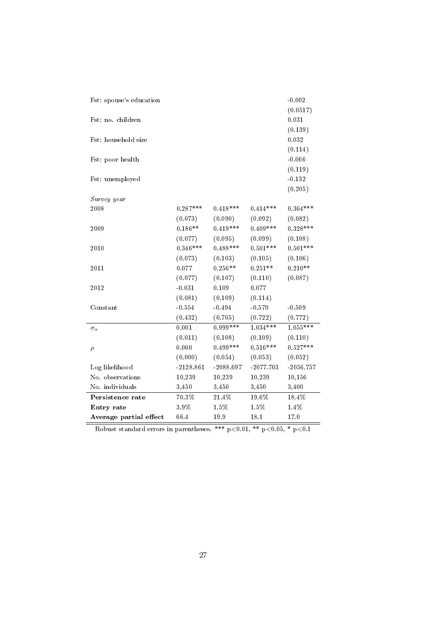| Fst: spouse's education |             |             |             | $-0.002$    |
|-------------------------|-------------|-------------|-------------|-------------|
|                         |             |             |             | (0.0517)    |
| Fst: no. children       |             |             |             | 0.031       |
|                         |             |             |             | (0.139)     |
| Fst: household size     |             |             |             | 0.032       |
|                         |             |             |             | (0.114)     |
| Fst: poor health        |             |             |             | $-0.066$    |
|                         |             |             |             | (0.119)     |
| Fst: unemployed         |             |             |             | $-0.132$    |
|                         |             |             |             | (0.205)     |
| Survey year             |             |             |             |             |
| 2008                    | $0.287***$  | $0.418***$  | $0.414***$  | $0.364***$  |
|                         | (0.073)     | (0.090)     | (0.092)     | (0.082)     |
| 2009                    | $0.186**$   | $0.419***$  | $0.409***$  | $0.328***$  |
|                         | (0.077)     | (0.095)     | (0.099)     | (0.108)     |
| 2010                    | $0.346***$  | $0.488***$  | $0.501***$  | $0.501***$  |
|                         | (0.073)     | (0.103)     | (0.105)     | (0.106)     |
| 2011                    | 0.077       | $0.256**$   | $0.251**$   | $0.210**$   |
|                         | (0.077)     | (0.107)     | (0.110)     | (0.087)     |
| 2012                    | $-0.031$    | 0.109       | 0.077       |             |
|                         | (0.081)     | (0.109)     | (0.114)     |             |
| Constant                | $-0.554$    | $-0.494$    | $-0.570$    | $-0.509$    |
|                         | (0.432)     | (0.705)     | (0.722)     | (0.772)     |
| $\sigma_{\alpha}$       | 0.001       | $0.999***$  | $1.034***$  | $1.055***$  |
|                         | (0.011)     | (0.108)     | (0.109)     | (0.110)     |
| $\rho$                  | 0.000       | $0.499***$  | $0.516***$  | $0.527***$  |
|                         | (0.000)     | (0.054)     | (0.053)     | (0.052)     |
| Log likelihood          | $-2128.861$ | $-2088.697$ | $-2077.703$ | $-2056.757$ |
| No. observations        | 10,239      | 10,239      | 10,239      | 10,156      |
| No. individuals         | 3,450       | 3,450       | 3,450       | 3,400       |
| Persistence rate        | 70.3%       | 21.4%       | $19.6\%$    | 18.4%       |
| Entry rate              | 3.9%        | 1.5%        | 1.5%        | $1.4\%$     |
| Average partial effect  | 66.4        | $19.9\,$    | 18.1        | 17.0        |

Robust standard errors in parentheses. \*\*\*  $p<0.01$ , \*\*  $p<0.05$ , \*  $p<0.1$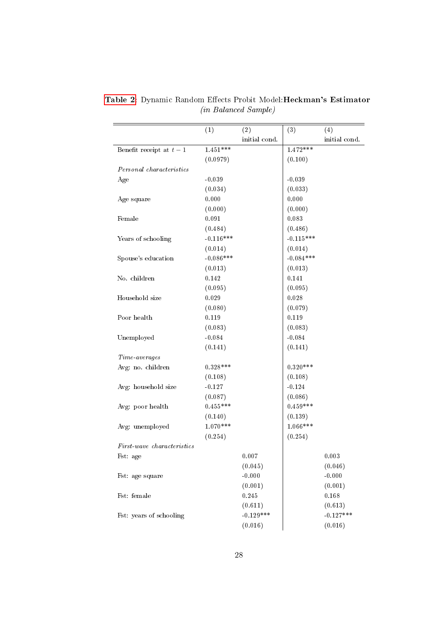|                            | (1)         | (2)           | (3)         | (4)           |
|----------------------------|-------------|---------------|-------------|---------------|
|                            |             | initial cond. |             | initial cond. |
| Benefit receipt at $t-1$   | $1.451***$  |               | $1.472***$  |               |
|                            | (0.0979)    |               | (0.100)     |               |
| Personal characteristics   |             |               |             |               |
| Age                        | $-0.039$    |               | $-0.039$    |               |
|                            | (0.034)     |               | (0.033)     |               |
| Age square                 | 0.000       |               | 0.000       |               |
|                            | (0.000)     |               | (0.000)     |               |
| Female                     | 0.091       |               | 0.083       |               |
|                            | (0.484)     |               | (0.486)     |               |
| Years of schooling         | $-0.116***$ |               | $-0.115***$ |               |
|                            | (0.014)     |               | (0.014)     |               |
| Spouse's education         | $-0.086***$ |               | $-0.084***$ |               |
|                            | (0.013)     |               | (0.013)     |               |
| No. children               | 0.142       |               | 0.141       |               |
|                            | (0.095)     |               | (0.095)     |               |
| Household size             | 0.029       |               | 0.028       |               |
|                            | (0.080)     |               | (0.079)     |               |
| Poor health                | 0.119       |               | 0.119       |               |
|                            | (0.083)     |               | (0.083)     |               |
| Unemployed                 | $-0.084$    |               | $-0.084$    |               |
|                            | (0.141)     |               | (0.141)     |               |
| Time-averages              |             |               |             |               |
| Avg: no. children          | $0.328***$  |               | $0.320***$  |               |
|                            | (0.108)     |               | (0.108)     |               |
| Avg: household size        | $-0.127$    |               | $-0.124$    |               |
|                            | (0.087)     |               | (0.086)     |               |
| Avg: poor health           | $0.455***$  |               | $0.459***$  |               |
|                            | (0.140)     |               | (0.139)     |               |
| Avg: unemployed            | $1.070***$  |               | $1.066***$  |               |
|                            | (0.254)     |               | (0.254)     |               |
| First-wave characteristics |             |               |             |               |
| Fst: age                   |             | 0.007         |             | 0.003         |
|                            |             | (0.045)       |             | (0.046)       |
| Fst: age square            |             | $-0.000$      |             | $-0.000$      |
|                            |             | (0.001)       |             | (0.001)       |
| Fst: female                |             | 0.245         |             | 0.168         |
|                            |             | (0.611)       |             | (0.613)       |
| Fst: years of schooling    |             | $-0.129***$   |             | $-0.127***$   |
|                            |             | (0.016)       |             | (0.016)       |

<span id="page-29-0"></span>[Table 2:](#page-29-0) Dynamic Random Effects Probit Model: Heckman's Estimator (in Balanced Sample)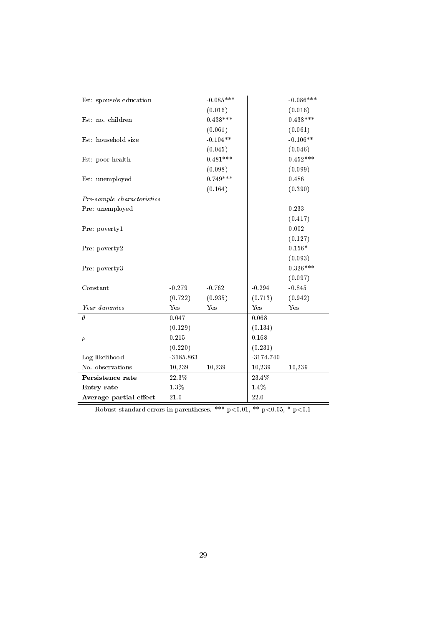| Fst: spouse's education    |             | $-0.085***$ |             | $-0.086***$ |
|----------------------------|-------------|-------------|-------------|-------------|
|                            |             | (0.016)     |             | (0.016)     |
| Fst: no. children          |             | $0.438***$  |             | $0.438***$  |
|                            |             | (0.061)     |             | (0.061)     |
| Fst: household size        |             | $-0.104**$  |             | $-0.106**$  |
|                            |             | (0.045)     |             | (0.046)     |
| Fst: poor health           |             | $0.481***$  |             | $0.452***$  |
|                            |             | (0.098)     |             | (0.099)     |
| Fst: unemployed            |             | $0.749***$  |             | 0.486       |
|                            |             | (0.164)     |             | (0.390)     |
| Pre-sample characteristics |             |             |             |             |
| Pre: unemployed            |             |             |             | 0.233       |
|                            |             |             |             | (0.417)     |
| Pre: poverty1              |             |             |             | 0.002       |
|                            |             |             |             | (0.127)     |
| Pre: poverty2              |             |             |             | $0.156*$    |
|                            |             |             |             | (0.093)     |
| Pre: poverty3              |             |             |             | $0.326***$  |
|                            |             |             |             | (0.097)     |
| Constant                   | $-0.279$    | $-0.762$    | $-0.294$    | $-0.845$    |
|                            | (0.722)     | (0.935)     | (0.713)     | (0.942)     |
| Year dummies               | Yes         | Yes         | Yes         | Yes         |
| $\theta$                   | 0.047       |             | 0.068       |             |
|                            | (0.129)     |             | (0.134)     |             |
| $\rho$                     | 0.215       |             | 0.168       |             |
|                            | (0.220)     |             | (0.231)     |             |
| Log likelihood             | $-3185.863$ |             | $-3174.740$ |             |
| No. observations           | 10,239      | 10,239      | 10,239      | 10,239      |
| Persistence rate           | 22.3%       |             | 23.4%       |             |
| Entry rate                 | $1.3\%$     |             | $1.4\%$     |             |
| Average partial effect     | $21.0\,$    |             | 22.0        |             |

Robust standard errors in parentheses. \*\*\*  $p<0.01$ , \*\*  $p<0.05$ , \*  $p<0.1$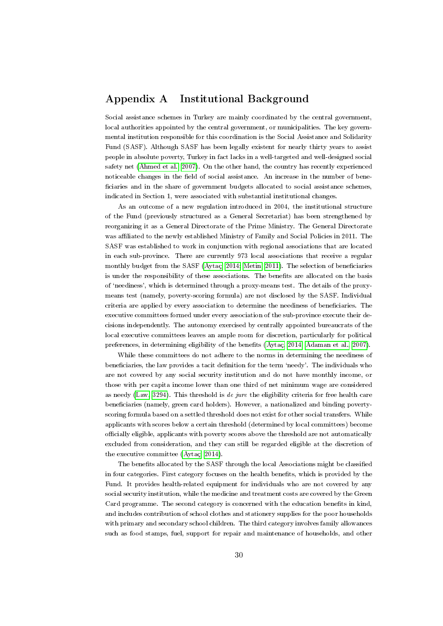## <span id="page-31-0"></span>Appendix A Institutional Background

Social assistance schemes in Turkey are mainly coordinated by the central government, local authorities appointed by the central government, or municipalities. The key governmental institution responsible for this coordination is the Social Assistance and Solidarity Fund (SASF). Although SASF has been legally existent for nearly thirty years to assist people in absolute poverty, Turkey in fact lacks in a well-targeted and well-designed social safety net [\(Ahmed et al., 2007\)](#page-21-3). On the other hand, the country has recently experienced noticeable changes in the field of social assistance. An increase in the number of beneciaries and in the share of government budgets allocated to social assistance schemes, indicated in Section 1, were associated with substantial institutional changes.

As an outcome of a new regulation introduced in 2004, the institutional structure of the Fund (previously structured as a General Secretariat) has been strengthened by reorganizing it as a General Directorate of the Prime Ministry. The General Directorate was affiliated to the newly established Ministry of Family and Social Policies in 2011. The SASF was established to work in conjunction with regional associations that are located in each sub-province. There are currently 973 local associations that receive a regular monthly budget from the SASF (Aytac, 2014; [Metin, 2011\)](#page-22-14). The selection of beneficiaries is under the responsibility of these associations. The benefits are allocated on the basis of `neediness', which is determined through a proxy-means test. The details of the proxymeans test (namely, poverty-scoring formula) are not disclosed by the SASF. Individual criteria are applied by every association to determine the neediness of beneficiaries. The executive committees formed under every association of the sub-province execute their decisions independently. The autonomy exercised by centrally appointed bureaucrats of the local executive committees leaves an ample room for discretion, particularly for political preferences, in determining eligibility of the benefits [\(Aytaç, 2014;](#page-22-8) [Adaman et al., 2007\)](#page-21-4).

While these committees do not adhere to the norms in determining the neediness of beneficiaries, the law provides a tacit definition for the term 'needy'. The individuals who are not covered by any social security institution and do not have monthly income, or those with per capita income lower than one third of net minimum wage are considered as needy [\(Law, 3294\)](#page-22-15). This threshold is de jure the eligibility criteria for free health care beneficiaries (namely, green card holders). However, a nationalized and binding povertyscoring formula based on a settled threshold does not exist for other social transfers. While applicants with scores below a certain threshold (determined by local committees) become ocially eligible, applicants with poverty scores above the threshold are not automatically excluded from consideration, and they can still be regarded eligible at the discretion of the executive committee [\(Aytaç, 2014\)](#page-22-8).

The benefits allocated by the SASF through the local Associations might be classified in four categories. First category focuses on the health benets, which is provided by the Fund. It provides health-related equipment for individuals who are not covered by any social security institution, while the medicine and treatment costs are covered by the Green Card programme. The second category is concerned with the education benets in kind, and includes contribution of school clothes and stationery supplies for the poor households with primary and secondary school children. The third category involves family allowances such as food stamps, fuel, support for repair and maintenance of households, and other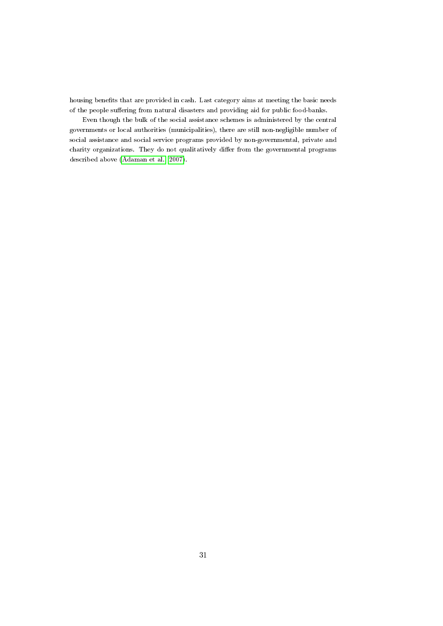housing benefits that are provided in cash. Last category aims at meeting the basic needs of the people suffering from natural disasters and providing aid for public food-banks.

Even though the bulk of the social assistance schemes is administered by the central governments or local authorities (municipalities), there are still non-negligible number of social assistance and social service programs provided by non-governmental, private and charity organizations. They do not qualitatively differ from the governmental programs described above [\(Adaman et al., 2007\)](#page-21-4).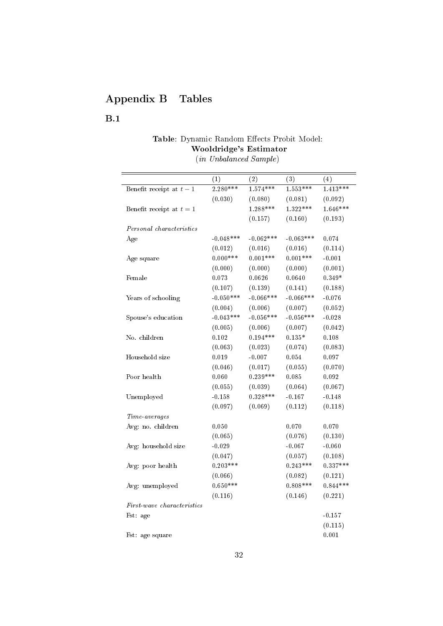## Appendix B Tables

## <span id="page-33-0"></span>B.1

## Table: Dynamic Random Effects Probit Model: Wooldridge's Estimator

(in Unbalanced Sample)

|                                          | (1)         | (2)         | (3)         | (4)        |
|------------------------------------------|-------------|-------------|-------------|------------|
| Benefit receipt at $t-1$                 | $2.280***$  | $1.574***$  | $1.553***$  | $1.413***$ |
|                                          | (0.030)     | (0.080)     | (0.081)     | (0.092)    |
| Benefit receipt at $t=1$                 |             | $1.288***$  | $1.322***$  | $1.646***$ |
|                                          |             | (0.157)     | (0.160)     | (0.193)    |
| Personal characteristics                 |             |             |             |            |
| Age                                      | $-0.048***$ | $-0.062***$ | $-0.063***$ | 0.074      |
|                                          | (0.012)     | (0.016)     | (0.016)     | (0.114)    |
| Age square                               | $0.000***$  | $0.001***$  | $0.001***$  | $-0.001$   |
|                                          | (0.000)     | (0.000)     | (0.000)     | (0.001)    |
| Female                                   | 0.073       | 0.0626      | 0.0640      | $0.349*$   |
|                                          | (0.107)     | (0.139)     | (0.141)     | (0.188)    |
| Years of schooling                       | $-0.050***$ | $-0.066***$ | $-0.066***$ | $-0.076$   |
|                                          | (0.004)     | (0.006)     | (0.007)     | (0.052)    |
| Spouse's education                       | $-0.043***$ | $-0.056***$ | $-0.056***$ | $-0.028$   |
|                                          | (0.005)     | (0.006)     | (0.007)     | (0.042)    |
| No. children                             | 0.102       | $0.194***$  | $0.135*$    | 0.108      |
|                                          | (0.063)     | (0.023)     | (0.074)     | (0.083)    |
| Household size                           | 0.019       | $-0.007$    | 0.054       | 0.097      |
|                                          | (0.046)     | (0.017)     | (0.055)     | (0.070)    |
| Poor health                              | 0.060       | $0.239***$  | 0.085       | 0.092      |
|                                          | (0.055)     | (0.039)     | (0.064)     | (0.067)    |
| Unemployed                               | $-0.158$    | $0.328***$  | $-0.167$    | $-0.148$   |
|                                          | (0.097)     | (0.069)     | (0.112)     | (0.118)    |
| Time-averages                            |             |             |             |            |
| Avg: no. children                        | 0.050       |             | 0.070       | 0.070      |
|                                          | (0.065)     |             | (0.076)     | (0.130)    |
| Avg: household size                      | $-0.029$    |             | $-0.067$    | $-0.060$   |
|                                          | (0.047)     |             | (0.057)     | (0.108)    |
| Avg: poor health                         | $0.203***$  |             | $0.243***$  | $0.337***$ |
|                                          | (0.066)     |             | (0.082)     | (0.121)    |
| Avg: unemployed                          | $0.650***$  |             | $0.808***$  | $0.844***$ |
|                                          | (0.116)     |             | (0.146)     | (0.221)    |
| <i>First</i> wave <i>characteristics</i> |             |             |             |            |
| Fst: age                                 |             |             |             | $-0.157$   |
|                                          |             |             |             | (0.115)    |
| Fst: age square                          |             |             |             | 0.001      |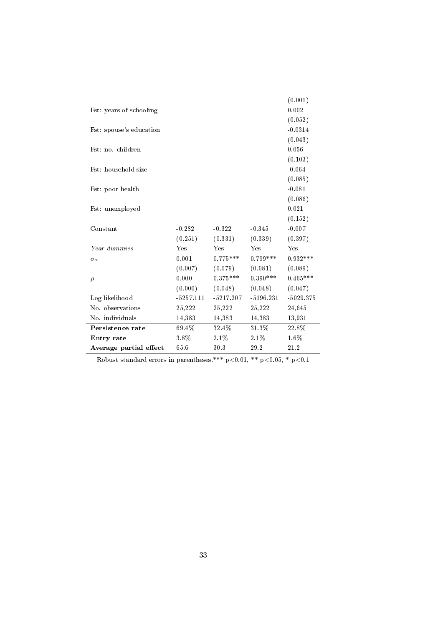|                         |             |             |             | (0.001)     |
|-------------------------|-------------|-------------|-------------|-------------|
| Fst: years of schooling |             |             |             | 0.002       |
|                         |             |             |             | (0.052)     |
| Fst: spouse's education |             |             |             | $-0.0314$   |
|                         |             |             |             | (0.043)     |
| Fst: no. children       |             |             |             | 0.056       |
|                         |             |             |             | (0.103)     |
| Fst: household size     |             |             |             | $-0.064$    |
|                         |             |             |             | (0.085)     |
| Fst: poor health        |             |             |             | $-0.081$    |
|                         |             |             |             | (0.086)     |
| Fst: unemployed         |             |             |             | 0.021       |
|                         |             |             |             | (0.152)     |
| Constant                | $-0.282$    | $-0.322$    | $-0.345$    | $-0.007$    |
|                         | (0.251)     | (0.331)     | (0.339)     | (0.397)     |
| Year dummies            | Yes         | Yes         | Yes         | Yes         |
| $\sigma_{\alpha}$       | 0.001       | $0.775***$  | $0.799***$  | $0.932***$  |
|                         | (0.007)     | (0.079)     | (0.081)     | (0.089)     |
| $\rho$                  | 0.000       | $0.375***$  | $0.390***$  | $0.465***$  |
|                         | (0.000)     | (0.048)     | (0.048)     | (0.047)     |
| Log likelihood          | $-5257.111$ | $-5217.207$ | $-5196.231$ | $-5029.375$ |
| No. observations        | 25,222      | 25,222      | 25,222      | 24,645      |
| No. individuals         | 14,383      | 14,383      | 14,383      | 13,931      |
| Persistence rate        | 69.4%       | 32.4%       | 31.3%       | 22.8%       |
| <b>Entry rate</b>       | 3.8%        | 2.1%        | 2.1%        | 1.6%        |
| Average partial effect  | 65.6        | 30.3        | 29.2        | 21.2        |

Robust standard errors in parentheses.\*\*\*  $p<0.01$ , \*\*  $p<0.05$ , \*  $p<0.1$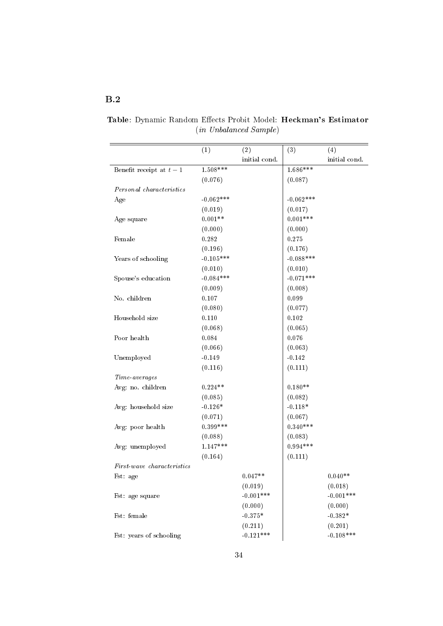## <span id="page-35-0"></span>B.2

|                                                           | (1)         | (2)           | (3)         | (4)           |
|-----------------------------------------------------------|-------------|---------------|-------------|---------------|
|                                                           |             | initial cond. |             | initial cond. |
| Benefit receipt at $t-1$                                  | $1.508***$  |               | $1.686***$  |               |
|                                                           | (0.076)     |               | (0.087)     |               |
| Personal characteristics                                  |             |               |             |               |
| Age                                                       | $-0.062***$ |               | $-0.062***$ |               |
|                                                           | (0.019)     |               | (0.017)     |               |
| Age square                                                | $0.001**$   |               | $0.001***$  |               |
|                                                           | (0.000)     |               | (0.000)     |               |
| Female                                                    | 0.282       |               | 0.275       |               |
|                                                           | (0.196)     |               | (0.176)     |               |
| Years of schooling                                        | $-0.105***$ |               | $-0.088***$ |               |
|                                                           | (0.010)     |               | (0.010)     |               |
| Spouse's education                                        | $-0.084***$ |               | $-0.071***$ |               |
|                                                           | (0.009)     |               | (0.008)     |               |
| No. children                                              | 0.107       |               | 0.099       |               |
|                                                           | (0.080)     |               | (0.077)     |               |
| Household size                                            | 0.110       |               | 0.102       |               |
|                                                           | (0.068)     |               | (0.065)     |               |
| Poor health                                               | 0.084       |               | 0.076       |               |
|                                                           | (0.066)     |               | (0.063)     |               |
| Unemployed                                                | $-0.149$    |               | $-0.142$    |               |
|                                                           | (0.116)     |               | (0.111)     |               |
| Time averages                                             |             |               |             |               |
| Avg: no. children                                         | $0.224**$   |               | $0.180**$   |               |
|                                                           | (0.085)     |               | (0.082)     |               |
| Avg: household size                                       | $-0.126*$   |               | $-0.118*$   |               |
|                                                           | (0.071)     |               | (0.067)     |               |
| Avg: poor health                                          | $0.399***$  |               | $0.340***$  |               |
|                                                           | (0.088)     |               | (0.083)     |               |
| Avg: unemployed                                           | $1.147***$  |               | $0.994***$  |               |
|                                                           | (0.164)     |               | (0.111)     |               |
| $\label{thm:lin} First\textit{-}wave\;\; characteristics$ |             |               |             |               |
| Fst: age                                                  |             | $0.047**$     |             | $0.040**$     |
|                                                           |             | (0.019)       |             | (0.018)       |
| Fst: age square                                           |             | $-0.001***$   |             | $-0.001***$   |
|                                                           |             | (0.000)       |             | (0.000)       |
| Fst: female                                               |             | $-0.375*$     |             | $-0.382*$     |
|                                                           |             | (0.211)       |             | (0.201)       |
| Fst: years of schooling                                   |             | $-0.121***$   |             | $-0.108***$   |

Table: Dynamic Random Effects Probit Model: Heckman's Estimator (in Unbalanced Sample)